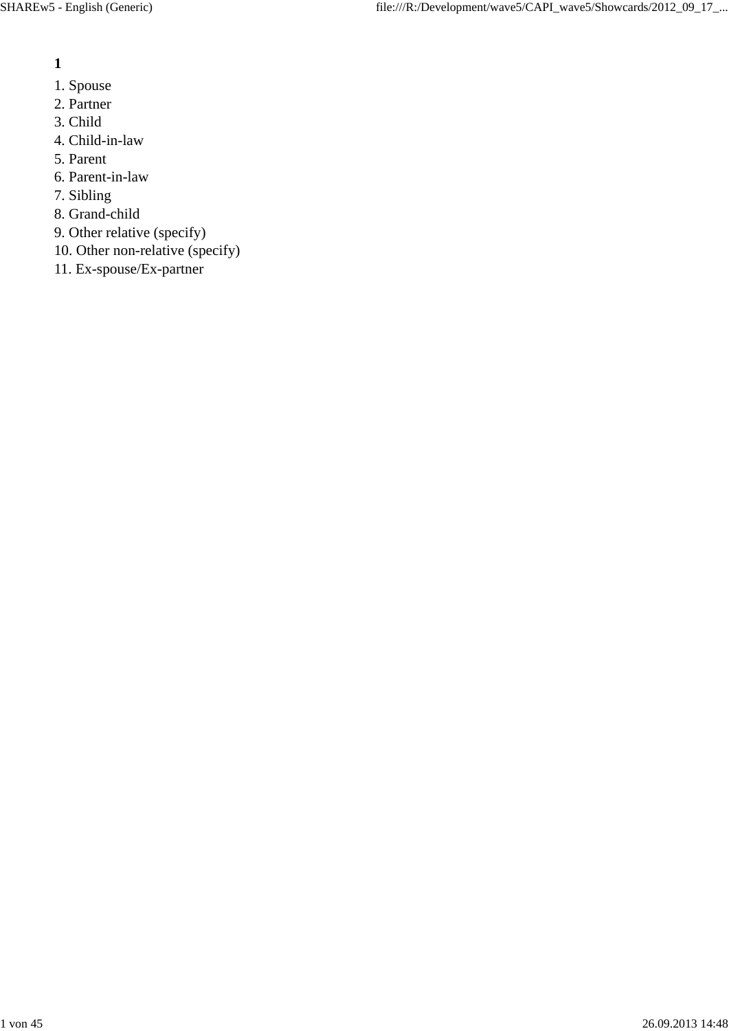- **1**
	-
- 1. Spouse 2. Partner
- 3. Child
- 4. Child-in-law
- 5. Parent
- 6. Parent-in-law
- 7. Sibling
- 8. Grand-child
- 9. Other relative (specify)
- 10. Other non-relative (specify)
- 11. Ex-spouse/Ex-partner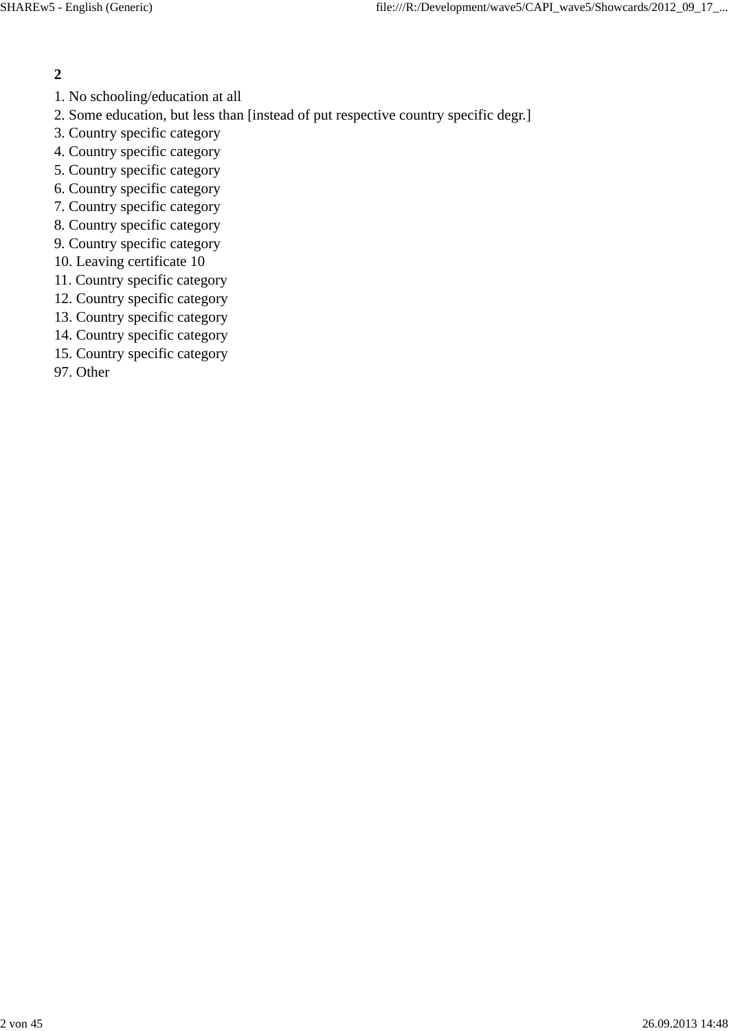- 1. No schooling/education at all
- 2. Some education, but less than [instead of put respective country specific degr.]
- 3. Country specific category
- 4. Country specific category
- 5. Country specific category
- 6. Country specific category
- 7. Country specific category
- 8. Country specific category
- 9. Country specific category
- 10. Leaving certificate 10
- 11. Country specific category
- 12. Country specific category
- 13. Country specific category
- 14. Country specific category
- 15. Country specific category
- 97. Other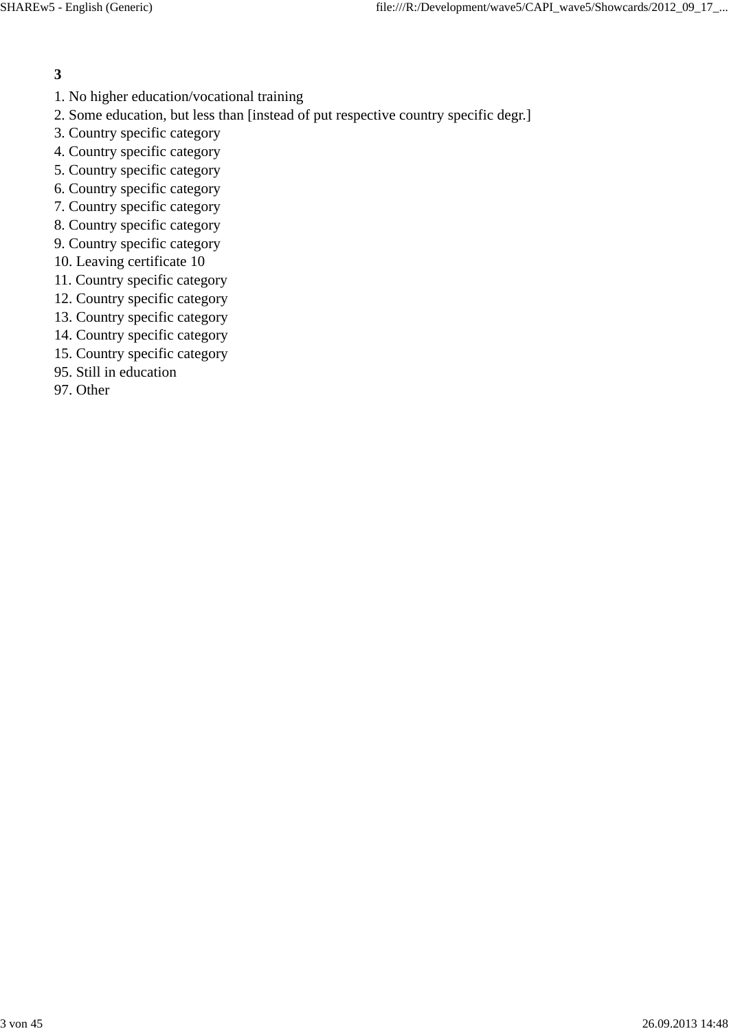- 1. No higher education/vocational training
- 2. Some education, but less than [instead of put respective country specific degr.]
- 3. Country specific category
- 4. Country specific category
- 5. Country specific category
- 6. Country specific category
- 7. Country specific category
- 8. Country specific category
- 9. Country specific category
- 10. Leaving certificate 10
- 11. Country specific category
- 12. Country specific category
- 13. Country specific category
- 14. Country specific category
- 15. Country specific category
- 95. Still in education
- 97. Other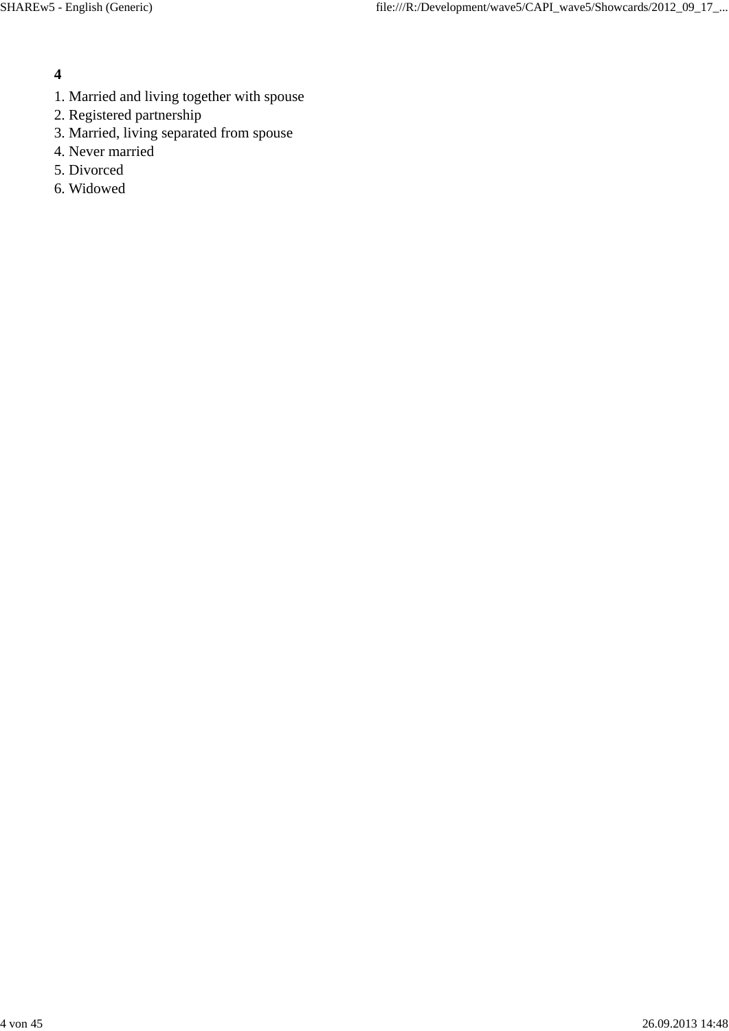- 1. Married and living together with spouse
- 2. Registered partnership
- 3. Married, living separated from spouse
- 4. Never married
- 5. Divorced
- 6. Widowed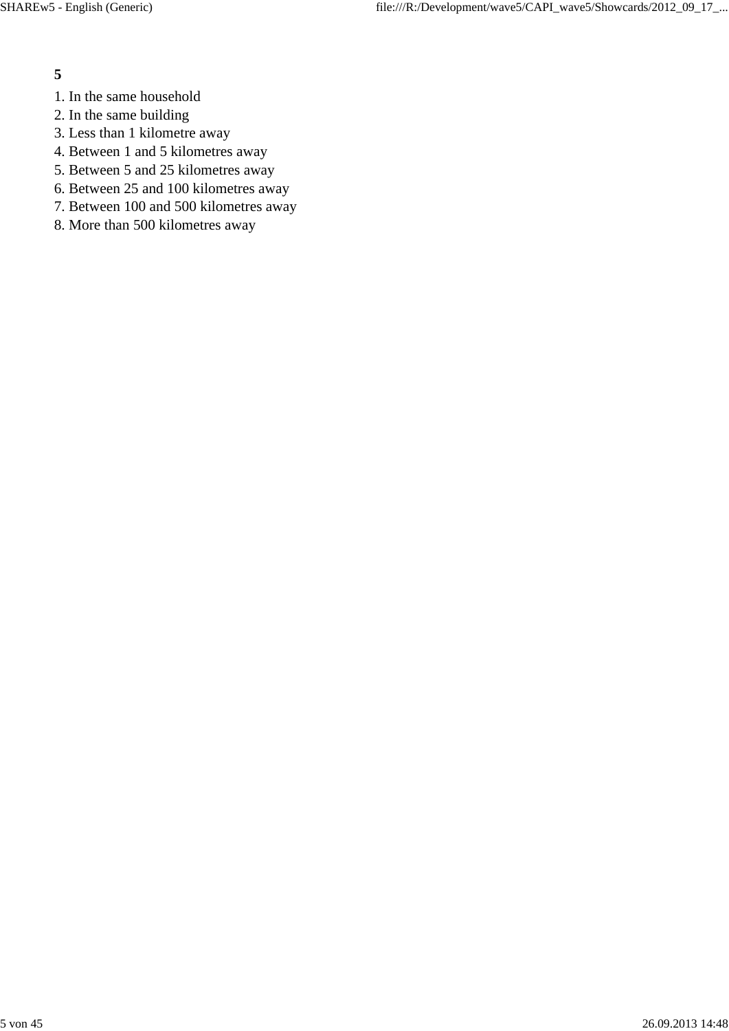- 1. In the same household
- 2. In the same building
- 3. Less than 1 kilometre away
- 4. Between 1 and 5 kilometres away
- 5. Between 5 and 25 kilometres away
- 6. Between 25 and 100 kilometres away
- 7. Between 100 and 500 kilometres away
- 8. More than 500 kilometres away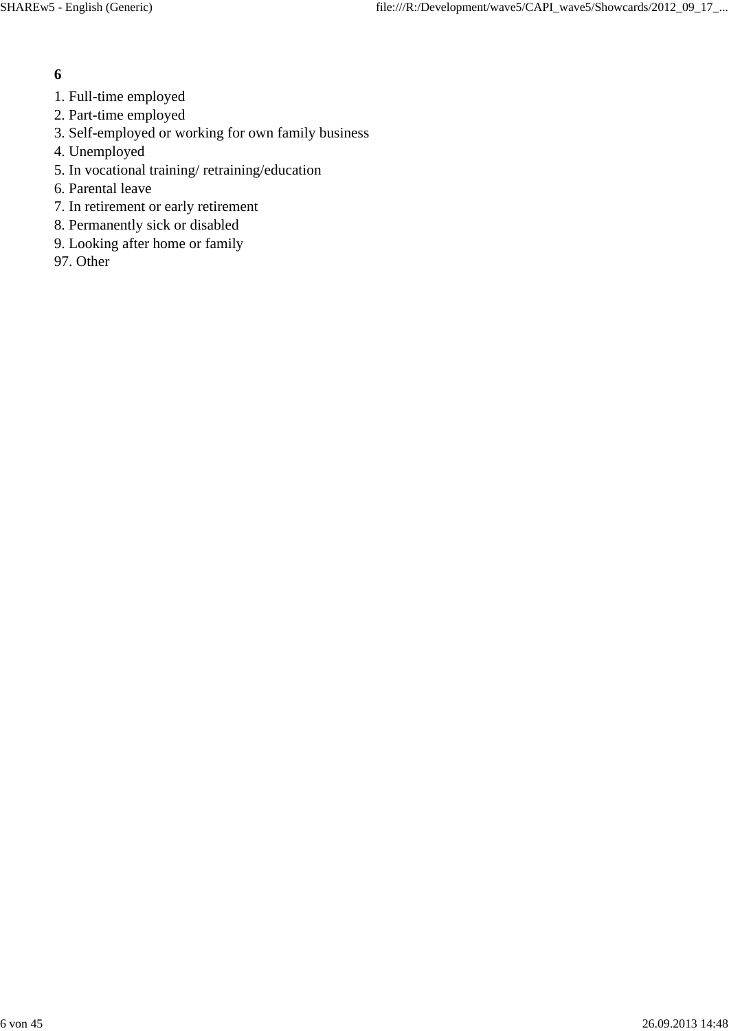- 1. Full-time employed
- 2. Part-time employed
- 3. Self-employed or working for own family business
- 4. Unemployed
- 5. In vocational training/ retraining/education
- 6. Parental leave
- 7. In retirement or early retirement
- 8. Permanently sick or disabled
- 9. Looking after home or family
- 97. Other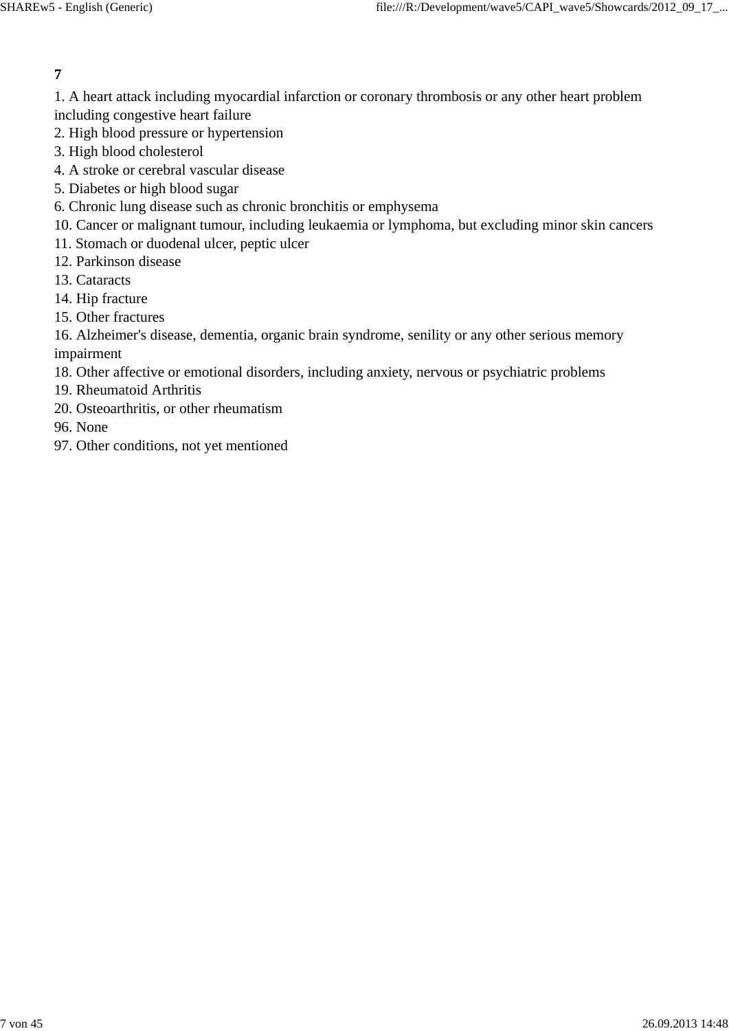1. A heart attack including myocardial infarction or coronary thrombosis or any other heart problem including congestive heart failure

- 2. High blood pressure or hypertension
- 3. High blood cholesterol
- 4. A stroke or cerebral vascular disease
- 5. Diabetes or high blood sugar
- 6. Chronic lung disease such as chronic bronchitis or emphysema
- 10. Cancer or malignant tumour, including leukaemia or lymphoma, but excluding minor skin cancers
- 11. Stomach or duodenal ulcer, peptic ulcer
- 12. Parkinson disease
- 13. Cataracts
- 14. Hip fracture
- 15. Other fractures

16. Alzheimer's disease, dementia, organic brain syndrome, senility or any other serious memory impairment

- 18. Other affective or emotional disorders, including anxiety, nervous or psychiatric problems
- 19. Rheumatoid Arthritis
- 20. Osteoarthritis, or other rheumatism
- 96. None
- 97. Other conditions, not yet mentioned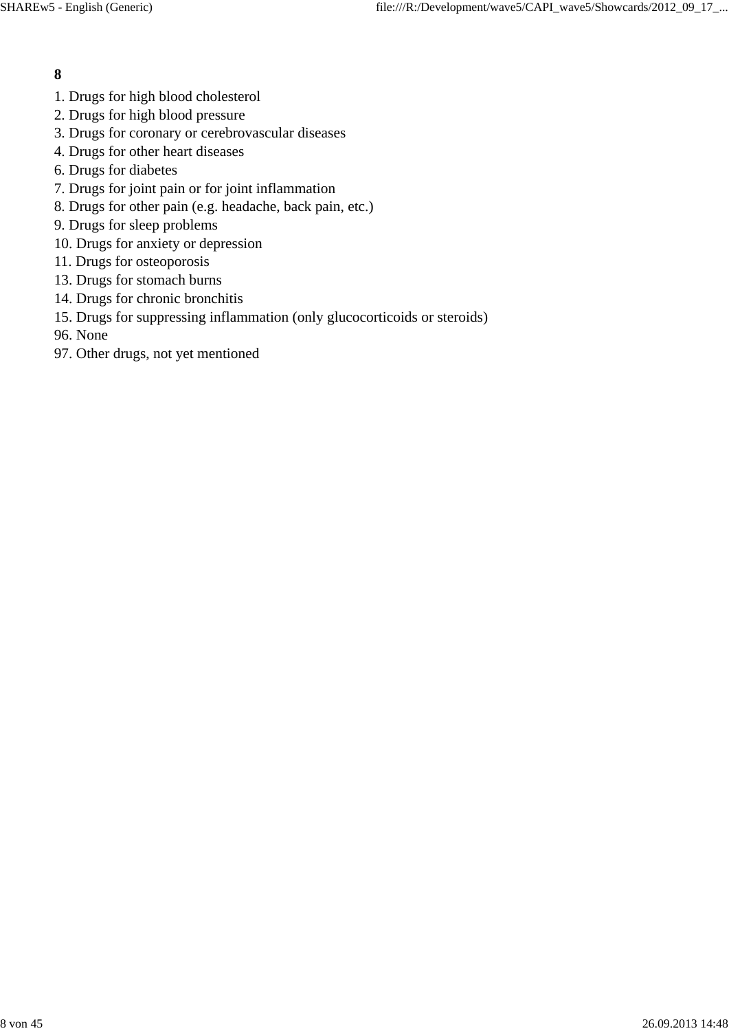- 1. Drugs for high blood cholesterol
- 2. Drugs for high blood pressure
- 3. Drugs for coronary or cerebrovascular diseases
- 4. Drugs for other heart diseases
- 6. Drugs for diabetes
- 7. Drugs for joint pain or for joint inflammation
- 8. Drugs for other pain (e.g. headache, back pain, etc.)
- 9. Drugs for sleep problems
- 10. Drugs for anxiety or depression
- 11. Drugs for osteoporosis
- 13. Drugs for stomach burns
- 14. Drugs for chronic bronchitis
- 15. Drugs for suppressing inflammation (only glucocorticoids or steroids)
- 96. None
- 97. Other drugs, not yet mentioned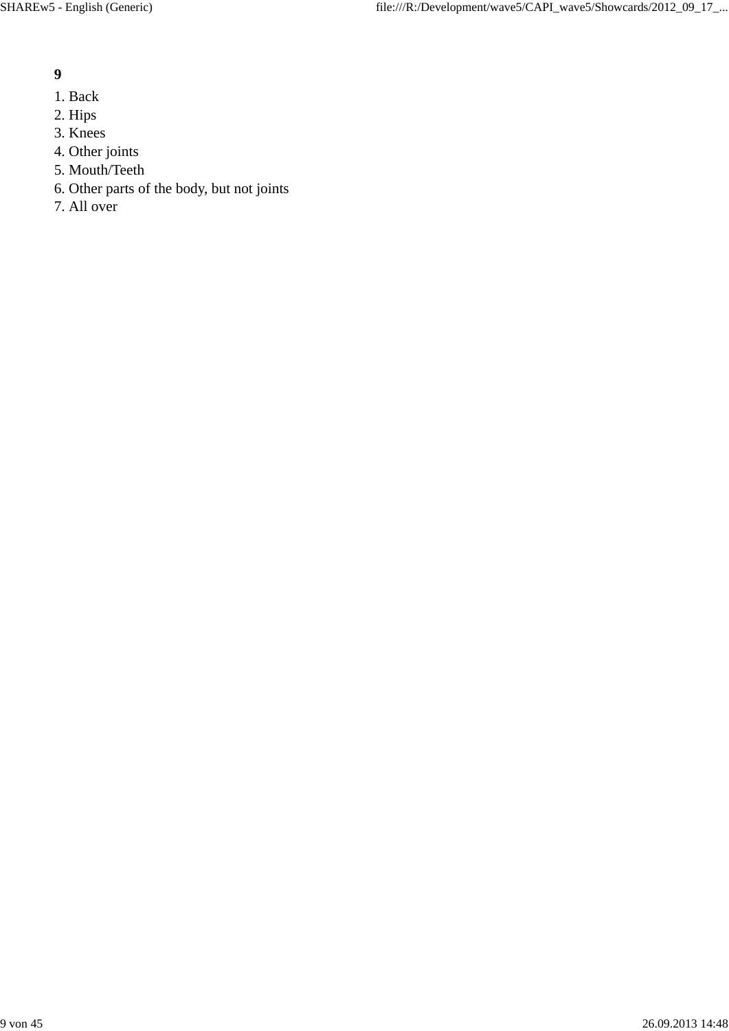- 1. Back
- 2. Hips
- 3. Knees
- 4. Other joints
- 5. Mouth/Teeth
- 6. Other parts of the body, but not joints
- 7. All over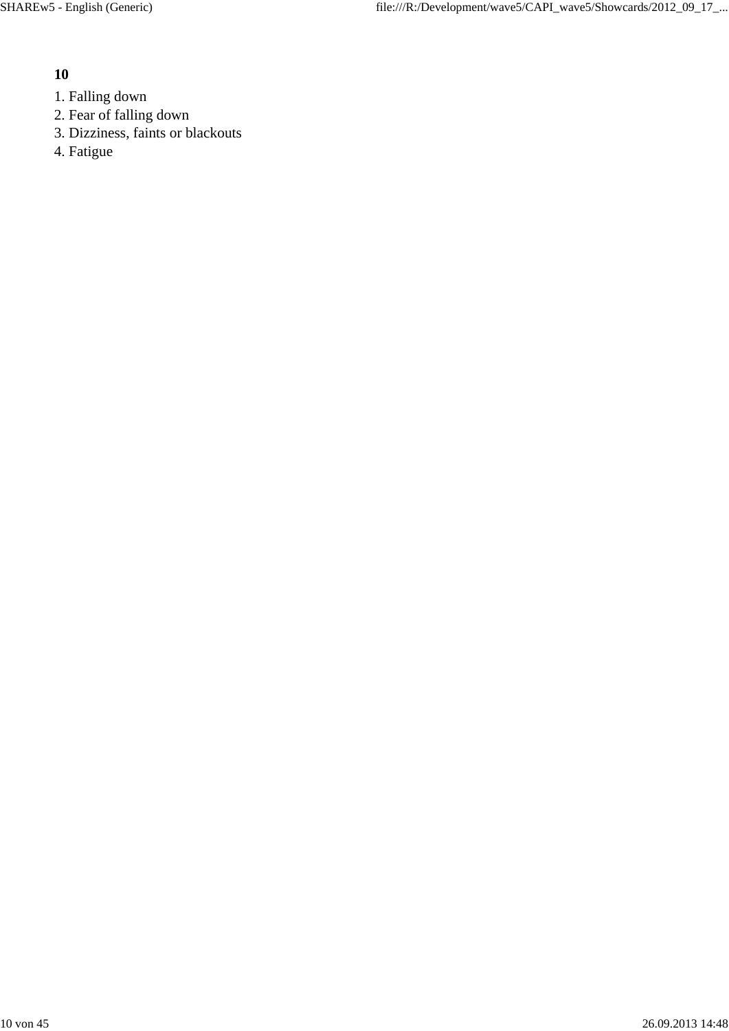- 1. Falling down
- 2. Fear of falling down
- 3. Dizziness, faints or blackouts
- 4. Fatigue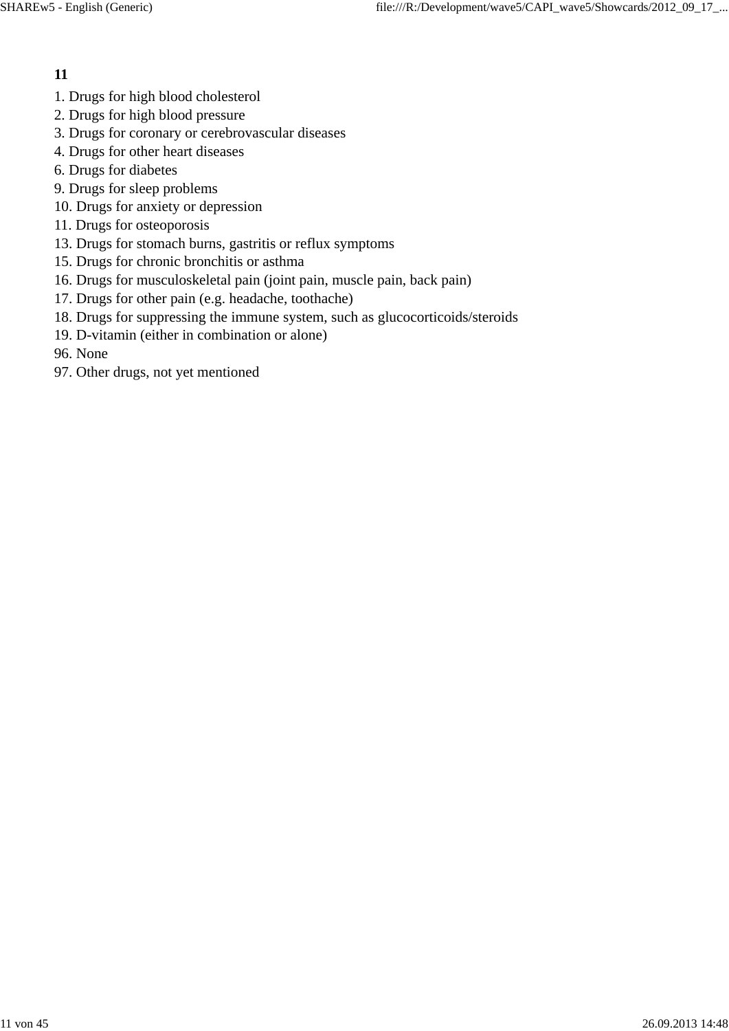- 1. Drugs for high blood cholesterol
- 2. Drugs for high blood pressure
- 3. Drugs for coronary or cerebrovascular diseases
- 4. Drugs for other heart diseases
- 6. Drugs for diabetes
- 9. Drugs for sleep problems
- 10. Drugs for anxiety or depression
- 11. Drugs for osteoporosis
- 13. Drugs for stomach burns, gastritis or reflux symptoms
- 15. Drugs for chronic bronchitis or asthma
- 16. Drugs for musculoskeletal pain (joint pain, muscle pain, back pain)
- 17. Drugs for other pain (e.g. headache, toothache)
- 18. Drugs for suppressing the immune system, such as glucocorticoids/steroids
- 19. D-vitamin (either in combination or alone)
- 96. None
- 97. Other drugs, not yet mentioned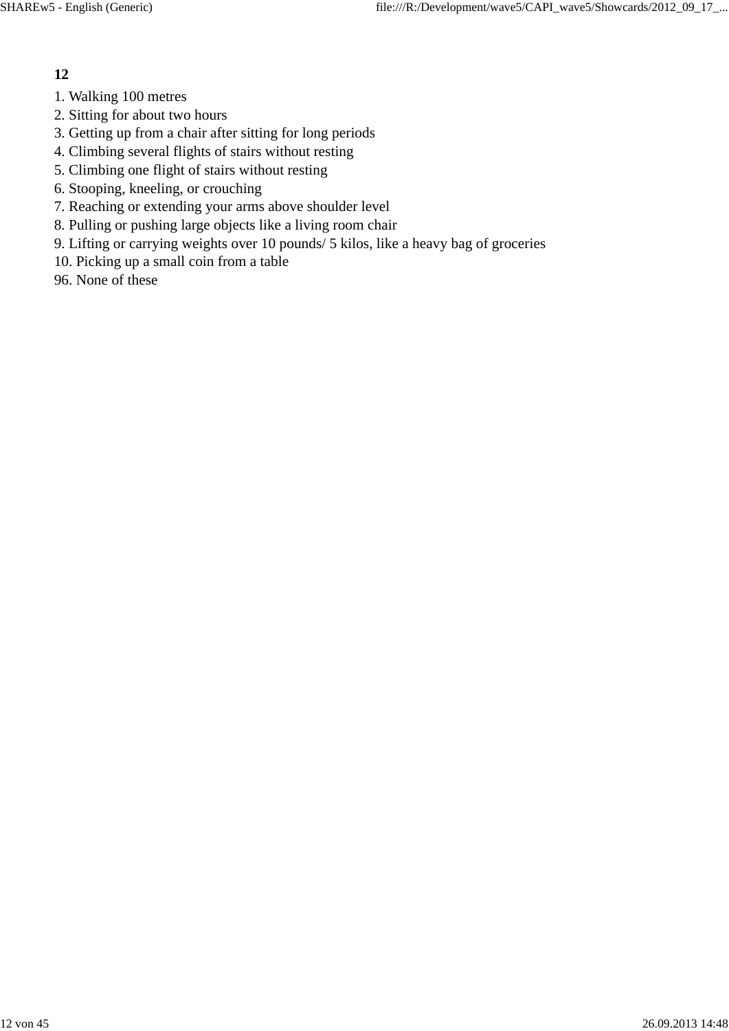- 1. Walking 100 metres
- 2. Sitting for about two hours
- 3. Getting up from a chair after sitting for long periods
- 4. Climbing several flights of stairs without resting
- 5. Climbing one flight of stairs without resting
- 6. Stooping, kneeling, or crouching
- 7. Reaching or extending your arms above shoulder level
- 8. Pulling or pushing large objects like a living room chair
- 9. Lifting or carrying weights over 10 pounds/ 5 kilos, like a heavy bag of groceries
- 10. Picking up a small coin from a table
- 96. None of these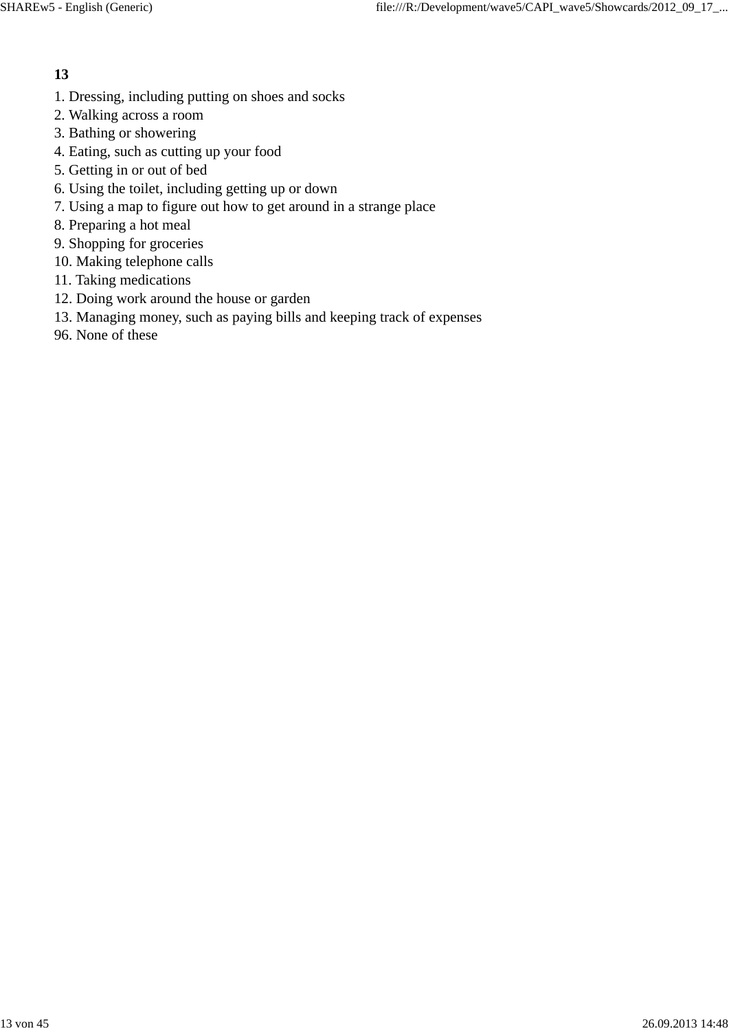- 1. Dressing, including putting on shoes and socks
- 2. Walking across a room
- 3. Bathing or showering
- 4. Eating, such as cutting up your food
- 5. Getting in or out of bed
- 6. Using the toilet, including getting up or down
- 7. Using a map to figure out how to get around in a strange place
- 8. Preparing a hot meal
- 9. Shopping for groceries
- 10. Making telephone calls
- 11. Taking medications
- 12. Doing work around the house or garden
- 13. Managing money, such as paying bills and keeping track of expenses
- 96. None of these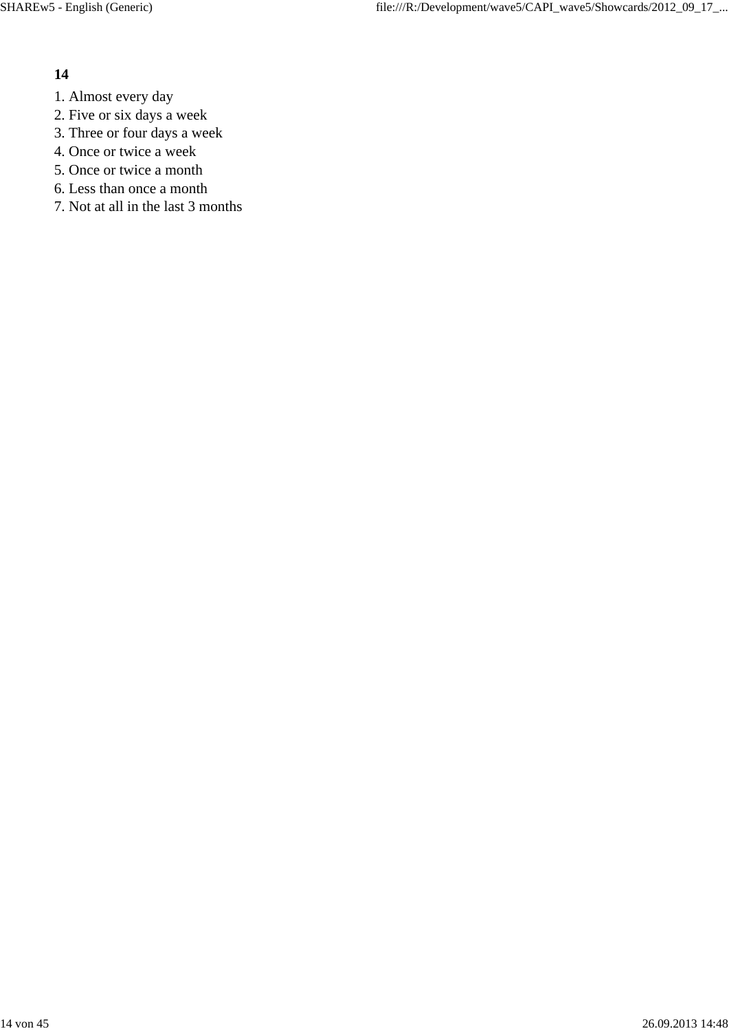- 1. Almost every day
- 2. Five or six days a week
- 3. Three or four days a week
- 4. Once or twice a week
- 5. Once or twice a month
- 6. Less than once a month
- 7. Not at all in the last 3 months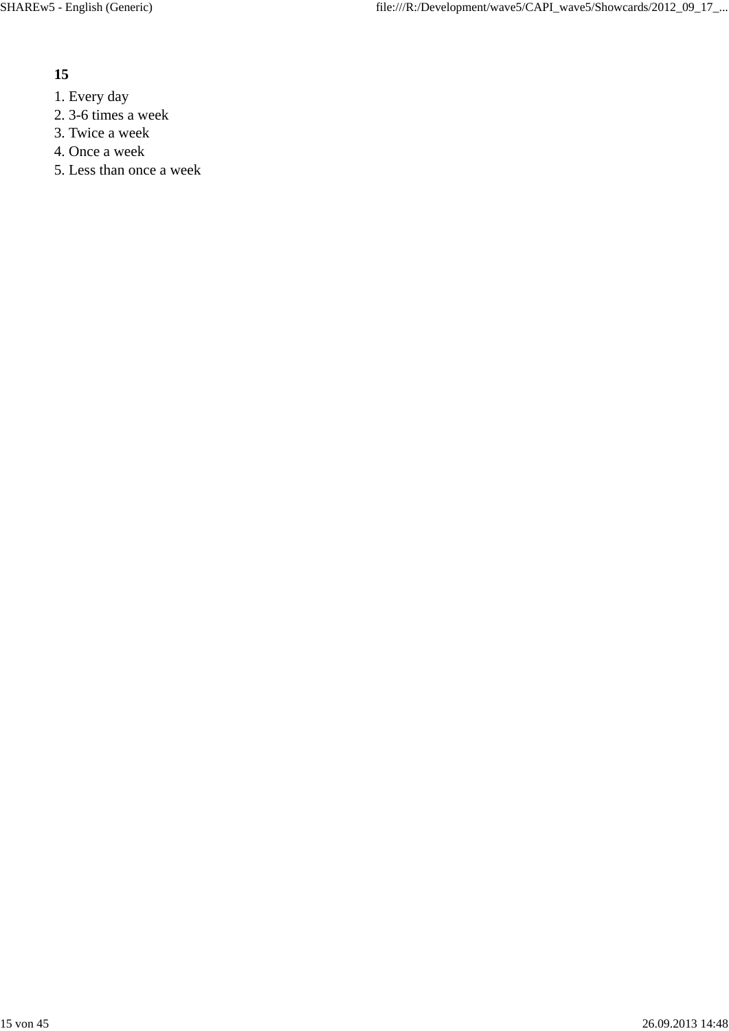- 1. Every day
- 2. 3-6 times a week
- 3. Twice a week
- 4. Once a week
- 5. Less than once a week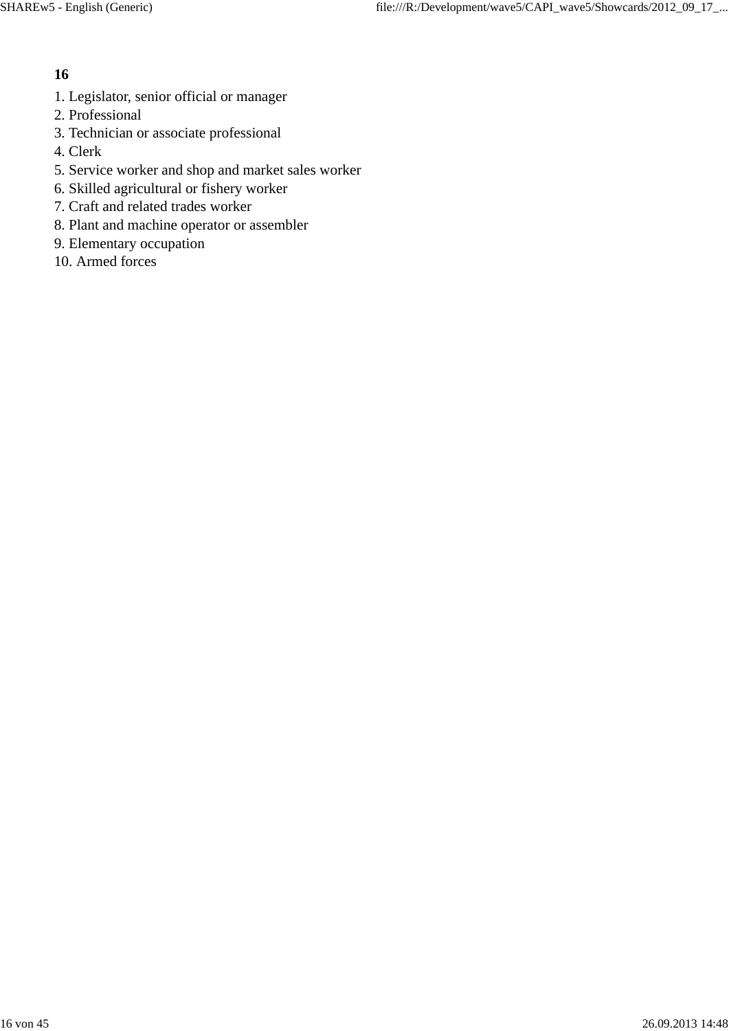- 1. Legislator, senior official or manager
- 2. Professional
- 3. Technician or associate professional
- 4. Clerk
- 5. Service worker and shop and market sales worker
- 6. Skilled agricultural or fishery worker
- 7. Craft and related trades worker
- 8. Plant and machine operator or assembler
- 9. Elementary occupation
- 10. Armed forces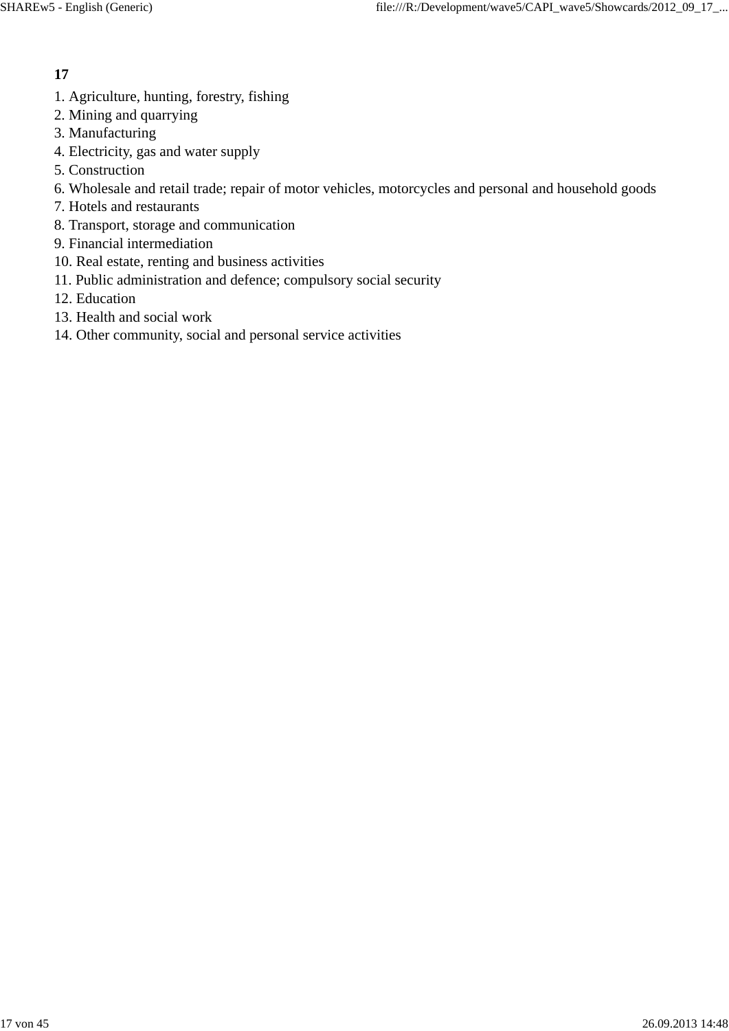- 1. Agriculture, hunting, forestry, fishing
- 2. Mining and quarrying
- 3. Manufacturing
- 4. Electricity, gas and water supply
- 5. Construction
- 6. Wholesale and retail trade; repair of motor vehicles, motorcycles and personal and household goods
- 7. Hotels and restaurants
- 8. Transport, storage and communication
- 9. Financial intermediation
- 10. Real estate, renting and business activities
- 11. Public administration and defence; compulsory social security
- 12. Education
- 13. Health and social work
- 14. Other community, social and personal service activities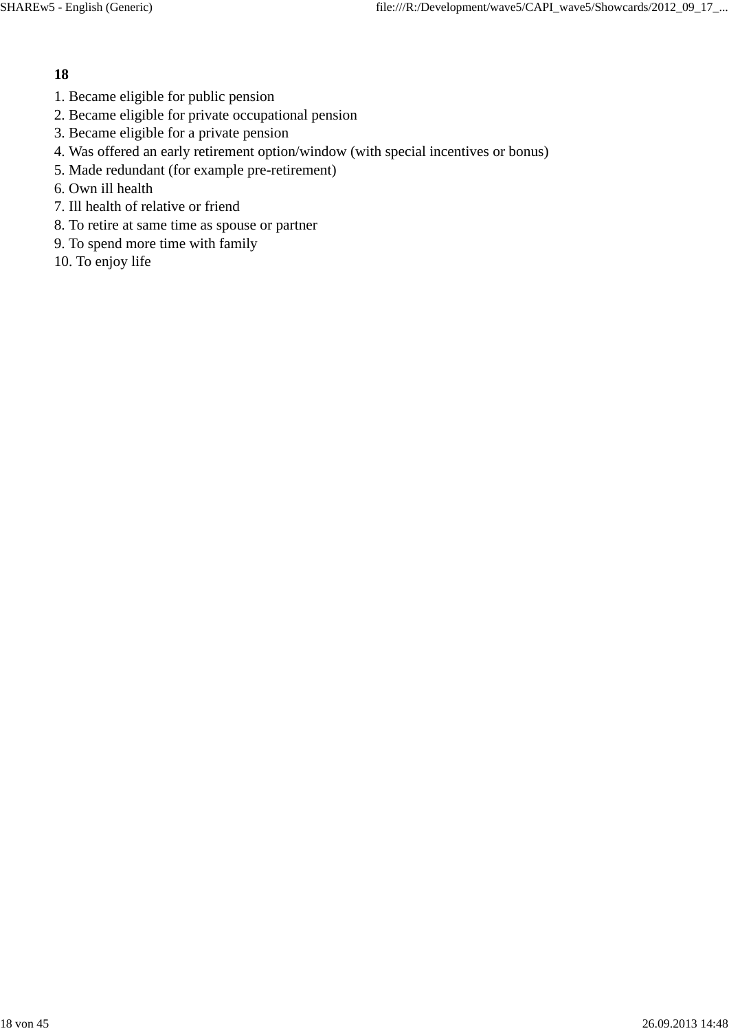- 1. Became eligible for public pension
- 2. Became eligible for private occupational pension
- 3. Became eligible for a private pension
- 4. Was offered an early retirement option/window (with special incentives or bonus)
- 5. Made redundant (for example pre-retirement)
- 6. Own ill health
- 7. Ill health of relative or friend
- 8. To retire at same time as spouse or partner
- 9. To spend more time with family
- 10. To enjoy life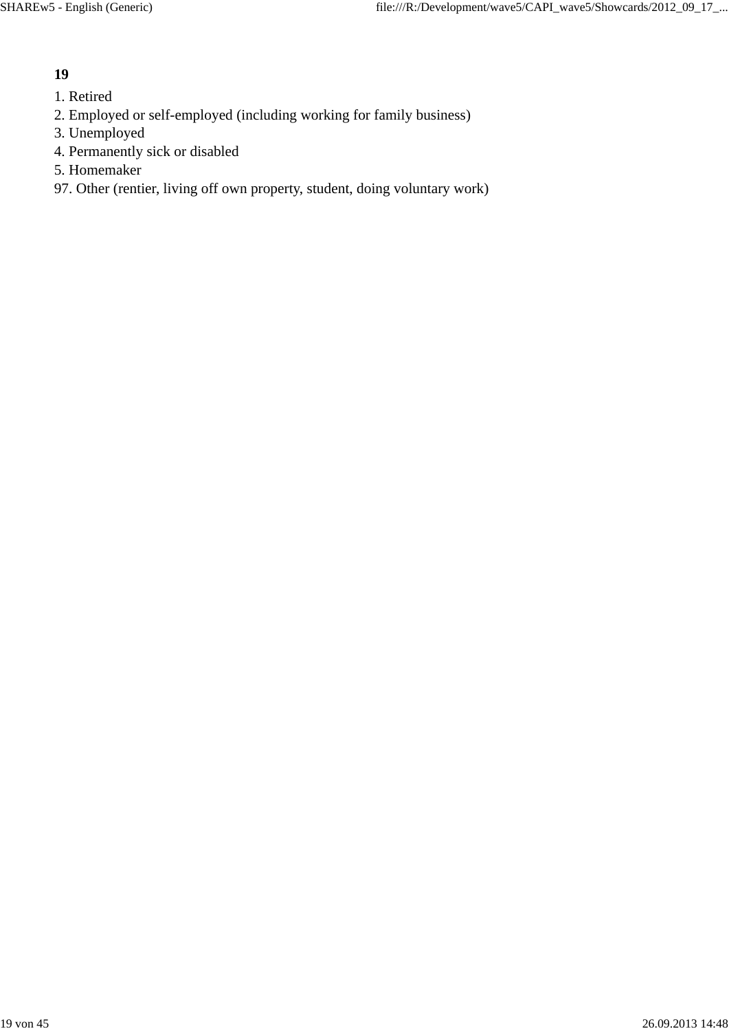- 1. Retired
- 2. Employed or self-employed (including working for family business)
- 3. Unemployed
- 4. Permanently sick or disabled
- 5. Homemaker
- 97. Other (rentier, living off own property, student, doing voluntary work)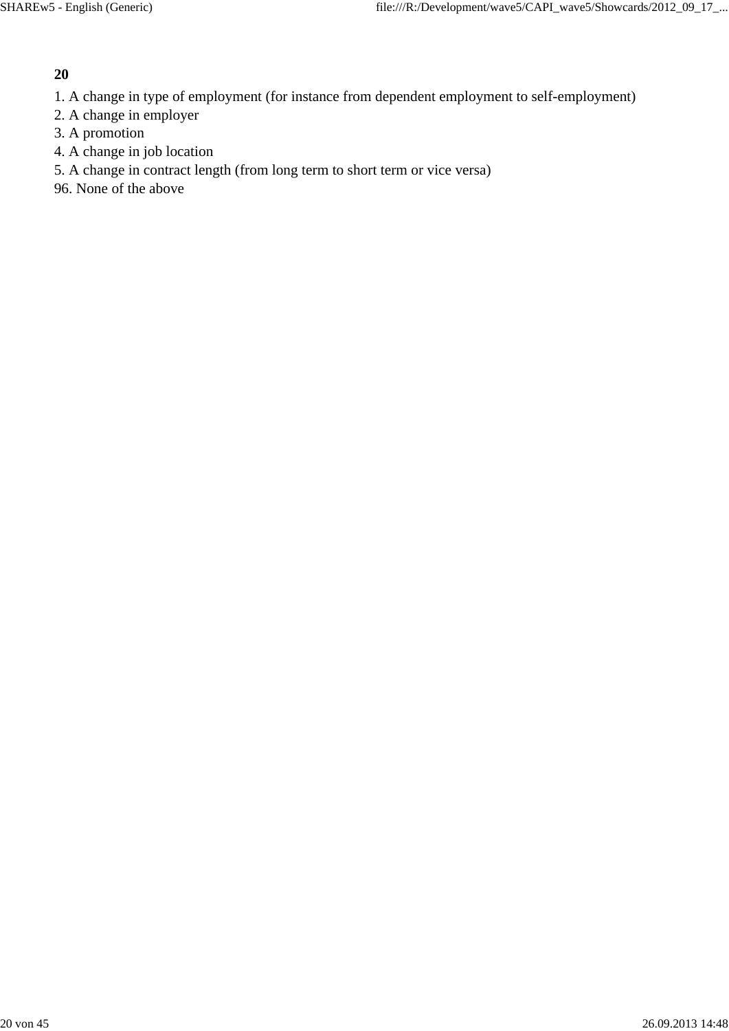- 1. A change in type of employment (for instance from dependent employment to self-employment)
- 2. A change in employer
- 3. A promotion
- 4. A change in job location
- 5. A change in contract length (from long term to short term or vice versa)
- 96. None of the above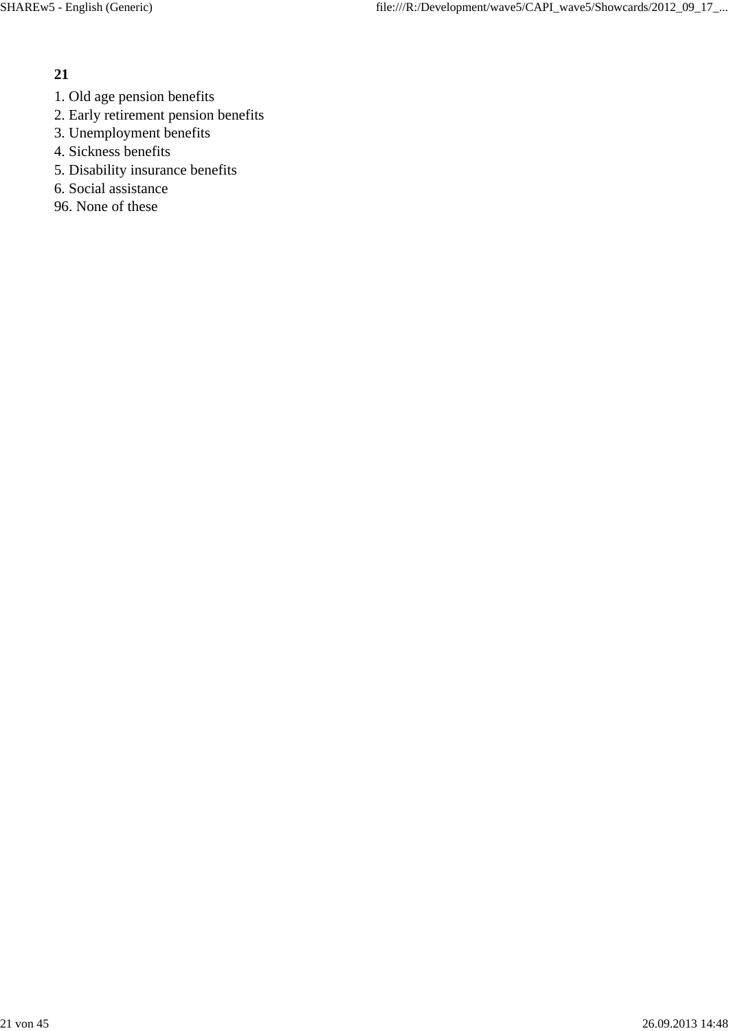- 1. Old age pension benefits
- 2. Early retirement pension benefits
- 3. Unemployment benefits
- 4. Sickness benefits
- 5. Disability insurance benefits
- 6. Social assistance
- 96. None of these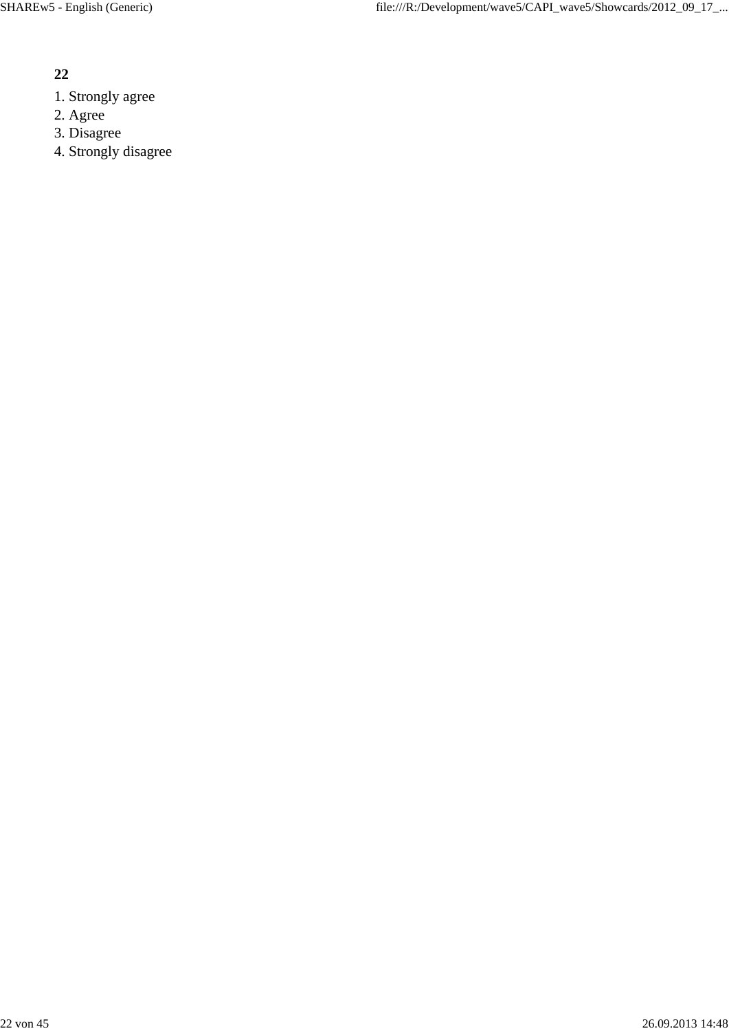- 1. Strongly agree
- 2. Agree
- 3. Disagree
- 4. Strongly disagree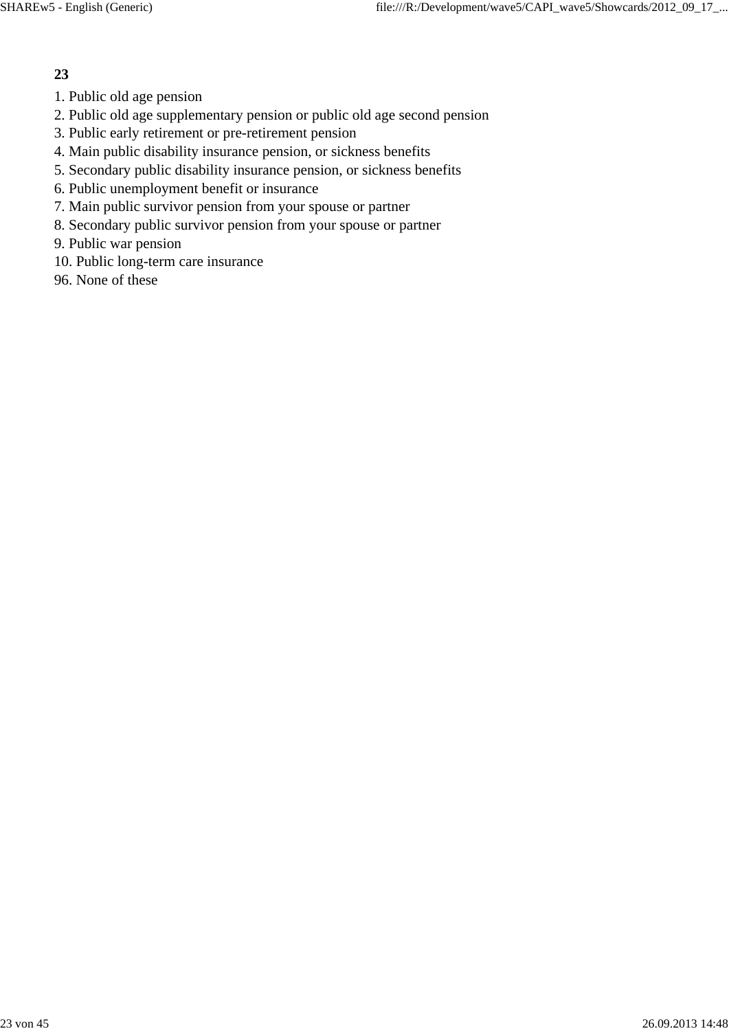- 1. Public old age pension
- 2. Public old age supplementary pension or public old age second pension
- 3. Public early retirement or pre-retirement pension
- 4. Main public disability insurance pension, or sickness benefits
- 5. Secondary public disability insurance pension, or sickness benefits
- 6. Public unemployment benefit or insurance
- 7. Main public survivor pension from your spouse or partner
- 8. Secondary public survivor pension from your spouse or partner
- 9. Public war pension
- 10. Public long-term care insurance
- 96. None of these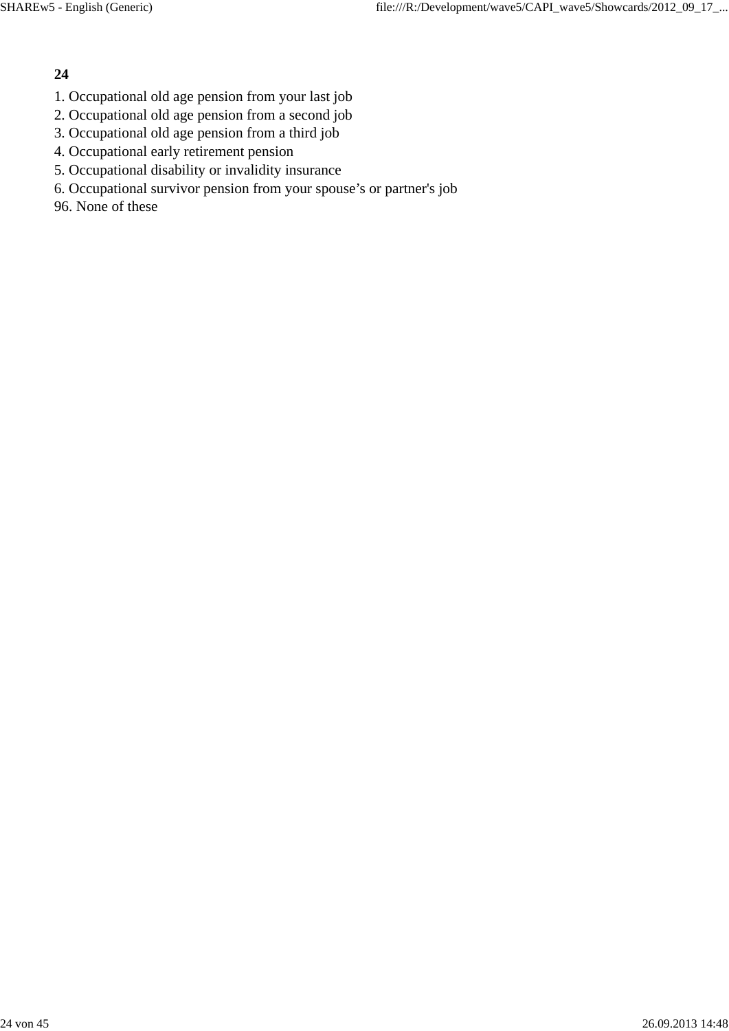- 1. Occupational old age pension from your last job
- 2. Occupational old age pension from a second job
- 3. Occupational old age pension from a third job
- 4. Occupational early retirement pension
- 5. Occupational disability or invalidity insurance
- 6. Occupational survivor pension from your spouse's or partner's job
- 96. None of these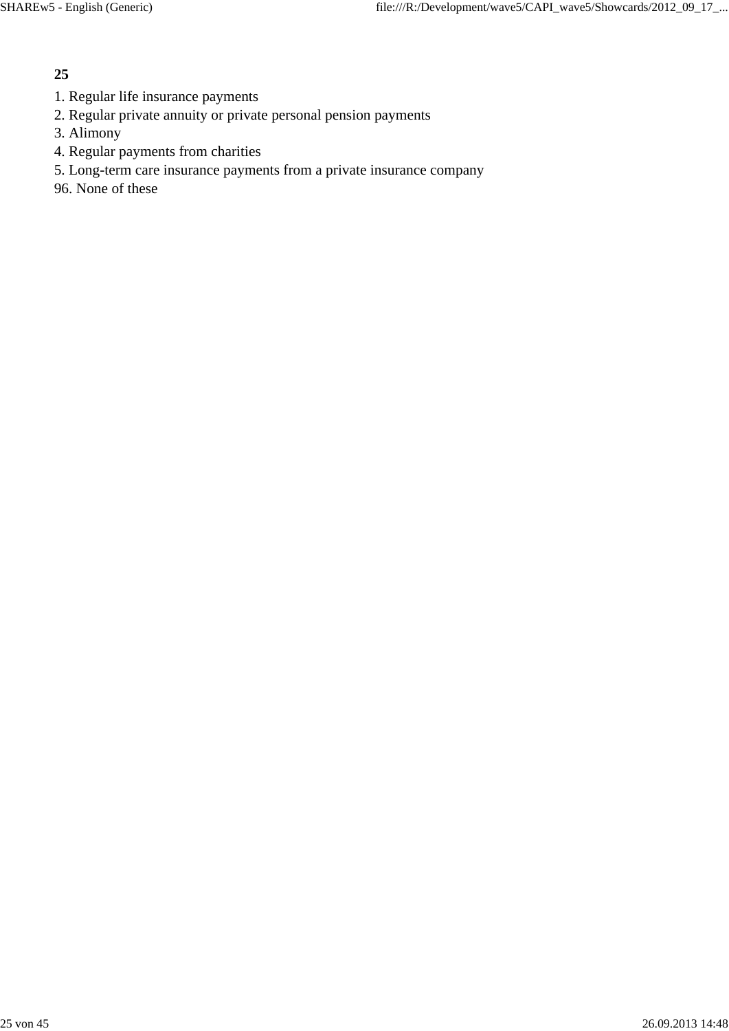- 1. Regular life insurance payments
- 2. Regular private annuity or private personal pension payments
- 3. Alimony
- 4. Regular payments from charities
- 5. Long-term care insurance payments from a private insurance company
- 96. None of these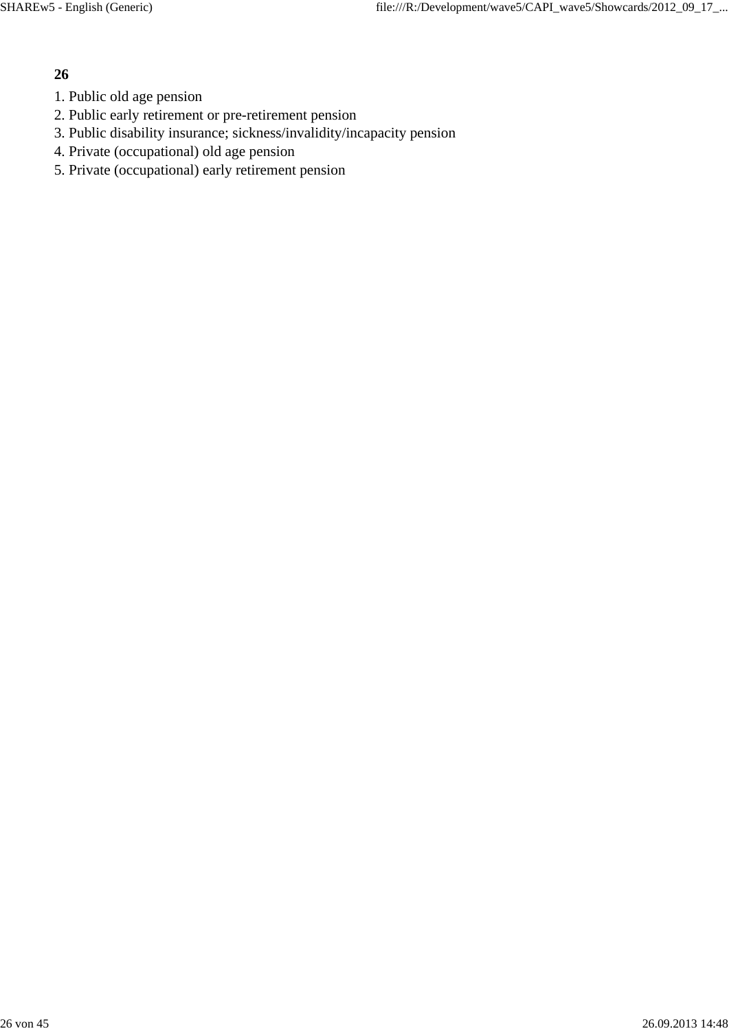- 1. Public old age pension
- 2. Public early retirement or pre-retirement pension
- 3. Public disability insurance; sickness/invalidity/incapacity pension
- 4. Private (occupational) old age pension
- 5. Private (occupational) early retirement pension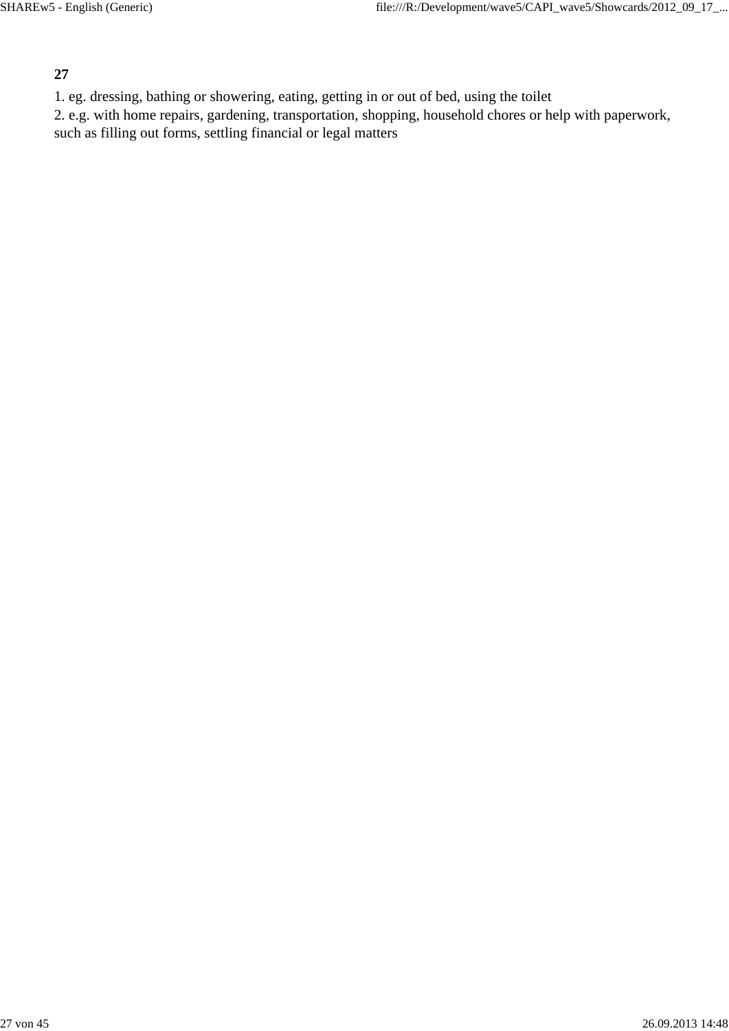1. eg. dressing, bathing or showering, eating, getting in or out of bed, using the toilet

2. e.g. with home repairs, gardening, transportation, shopping, household chores or help with paperwork, such as filling out forms, settling financial or legal matters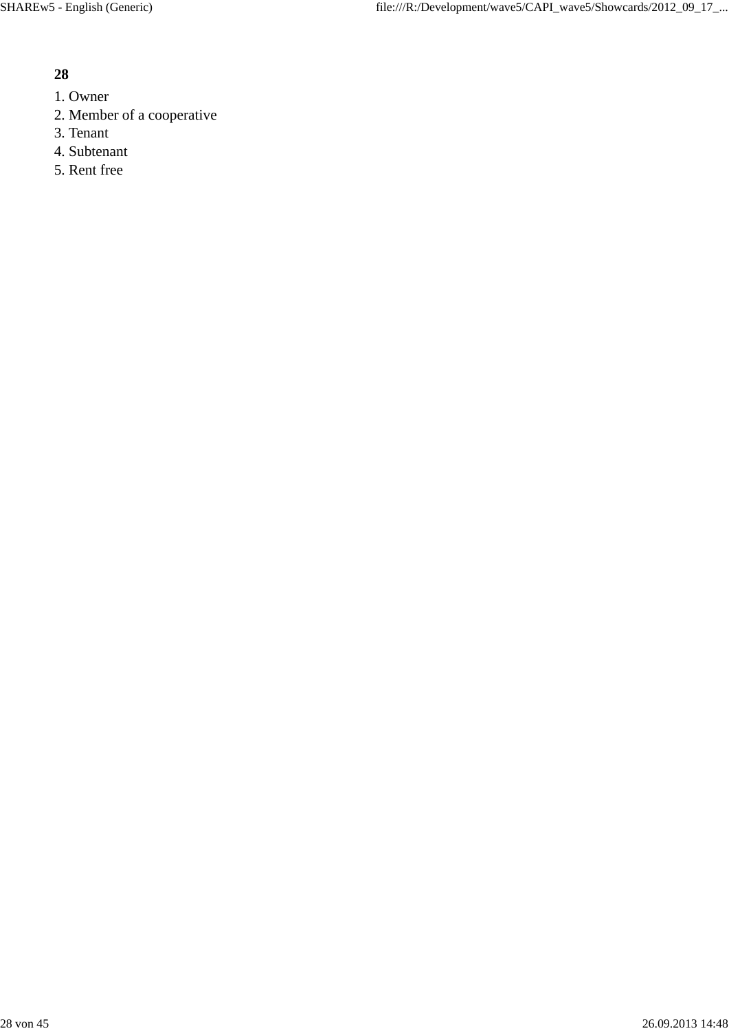- 1. Owner
- 2. Member of a cooperative
- 3. Tenant
- 4. Subtenant
- 5. Rent free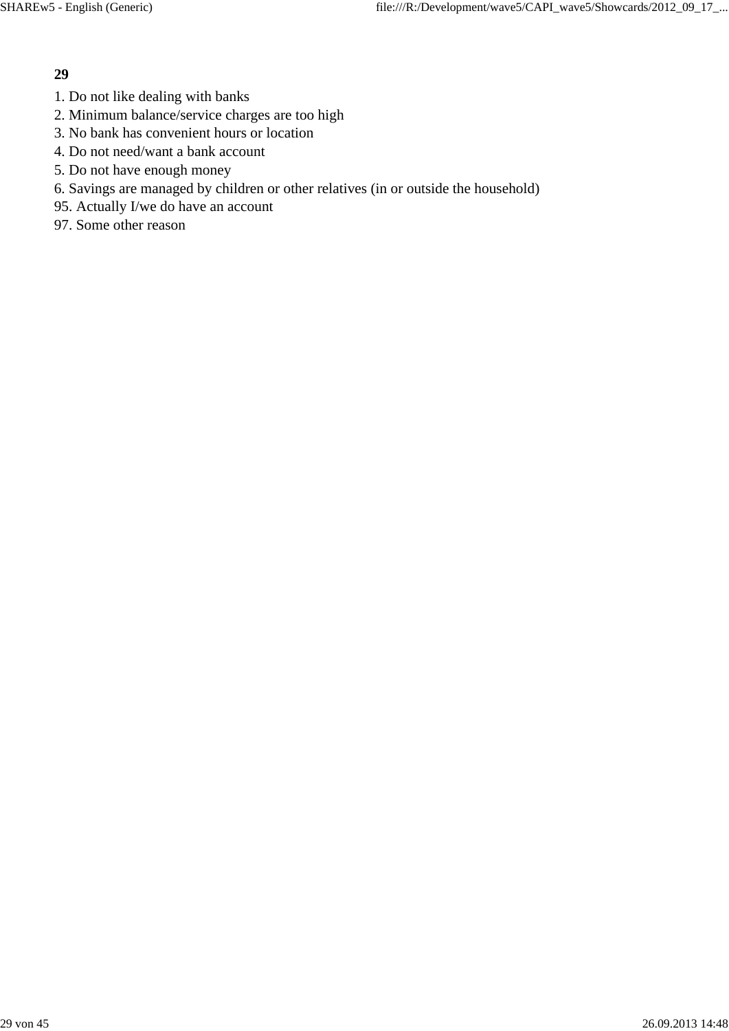- 1. Do not like dealing with banks
- 2. Minimum balance/service charges are too high
- 3. No bank has convenient hours or location
- 4. Do not need/want a bank account
- 5. Do not have enough money
- 6. Savings are managed by children or other relatives (in or outside the household)
- 95. Actually I/we do have an account
- 97. Some other reason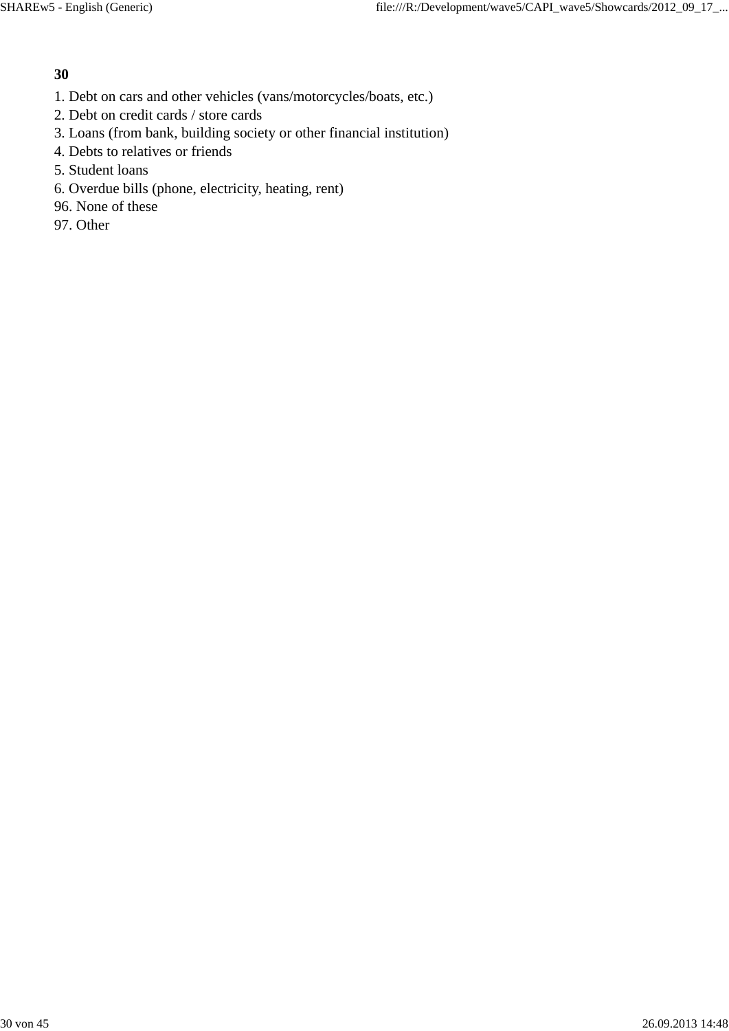- 1. Debt on cars and other vehicles (vans/motorcycles/boats, etc.)
- 2. Debt on credit cards / store cards
- 3. Loans (from bank, building society or other financial institution)
- 4. Debts to relatives or friends
- 5. Student loans
- 6. Overdue bills (phone, electricity, heating, rent)
- 96. None of these
- 97. Other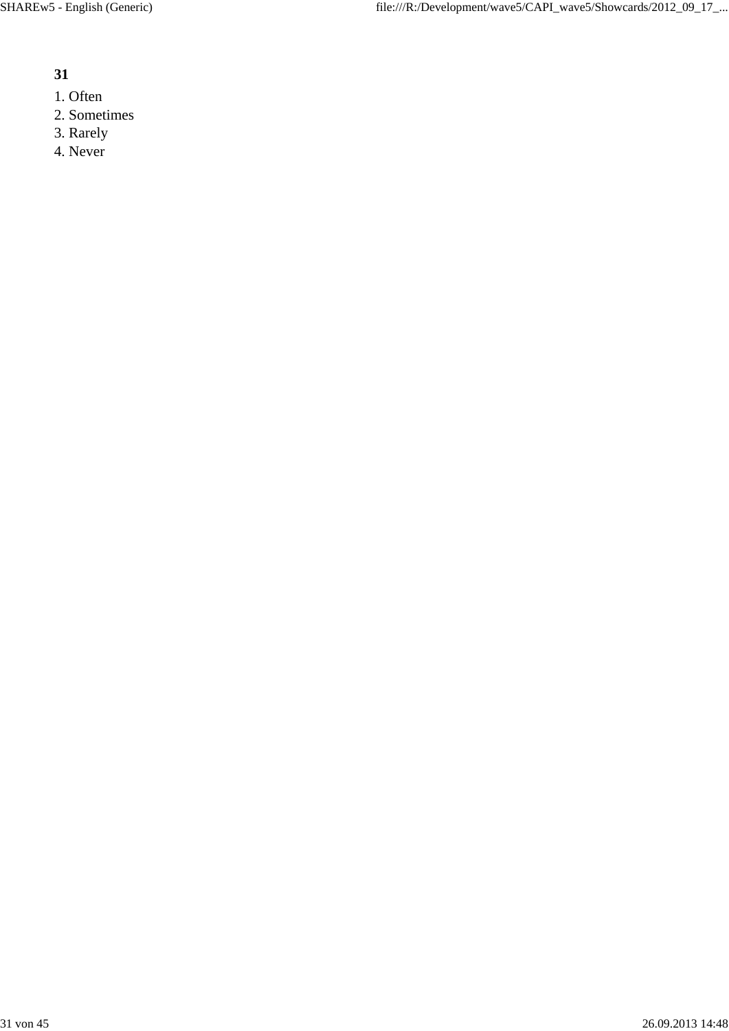- 1. Often
- 2. Sometimes
- 3. Rarely
- 4. Never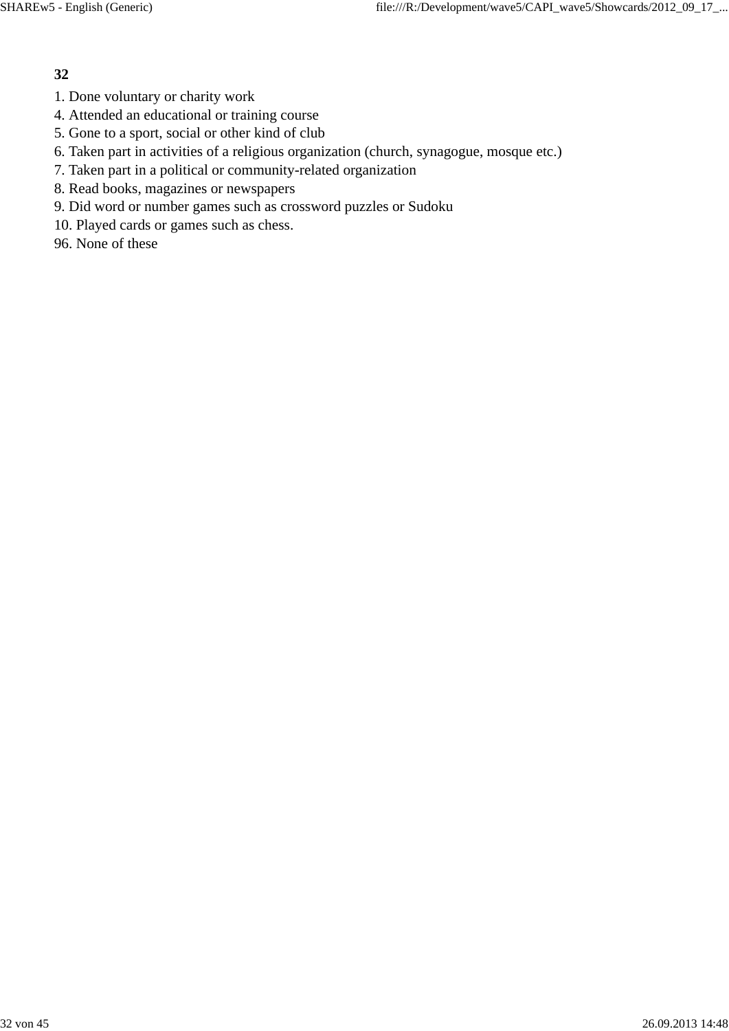- 1. Done voluntary or charity work
- 4. Attended an educational or training course
- 5. Gone to a sport, social or other kind of club
- 6. Taken part in activities of a religious organization (church, synagogue, mosque etc.)
- 7. Taken part in a political or community-related organization
- 8. Read books, magazines or newspapers
- 9. Did word or number games such as crossword puzzles or Sudoku
- 10. Played cards or games such as chess.
- 96. None of these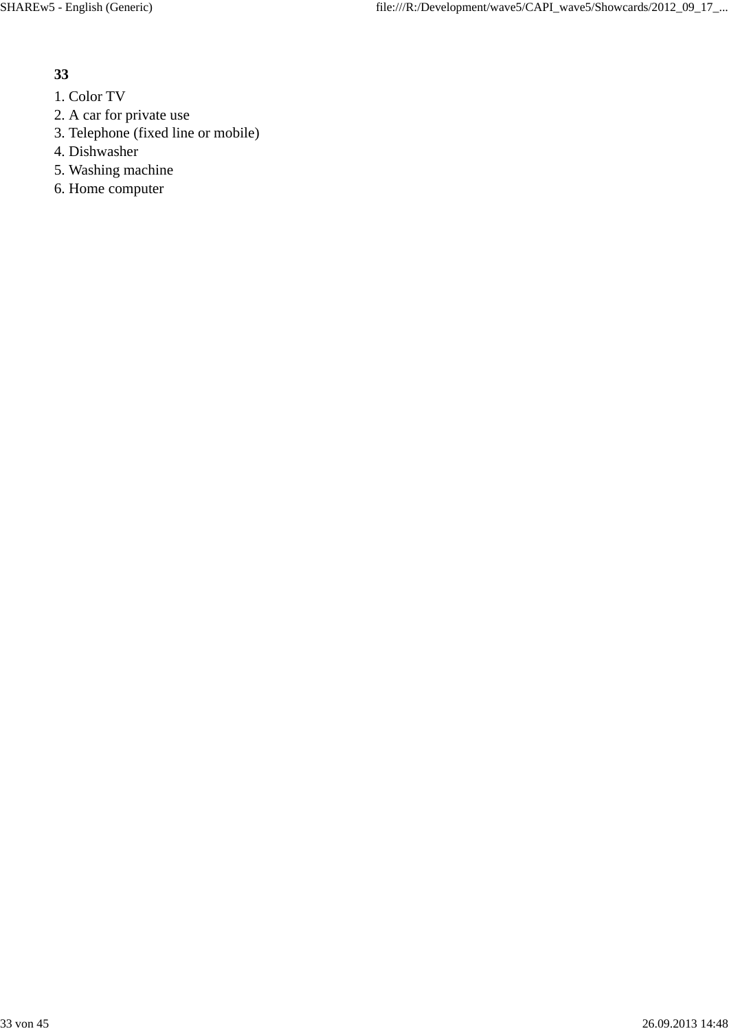- 1. Color TV
- 2. A car for private use
- 3. Telephone (fixed line or mobile)
- 4. Dishwasher
- 5. Washing machine
- 6. Home computer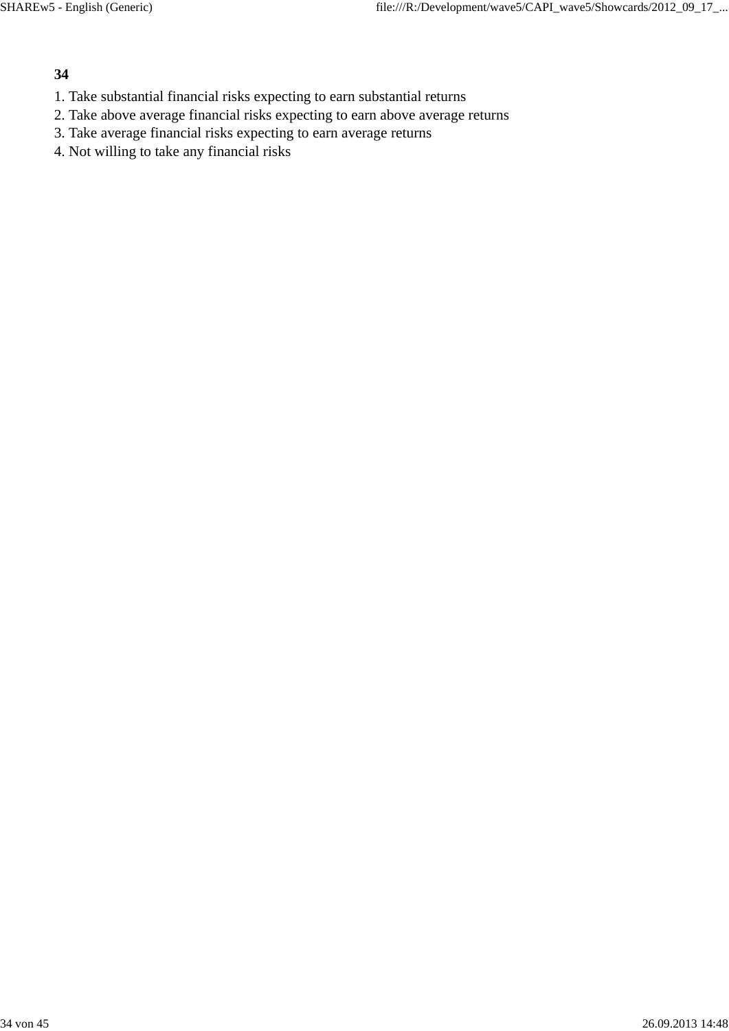- 1. Take substantial financial risks expecting to earn substantial returns
- 2. Take above average financial risks expecting to earn above average returns
- 3. Take average financial risks expecting to earn average returns
- 4. Not willing to take any financial risks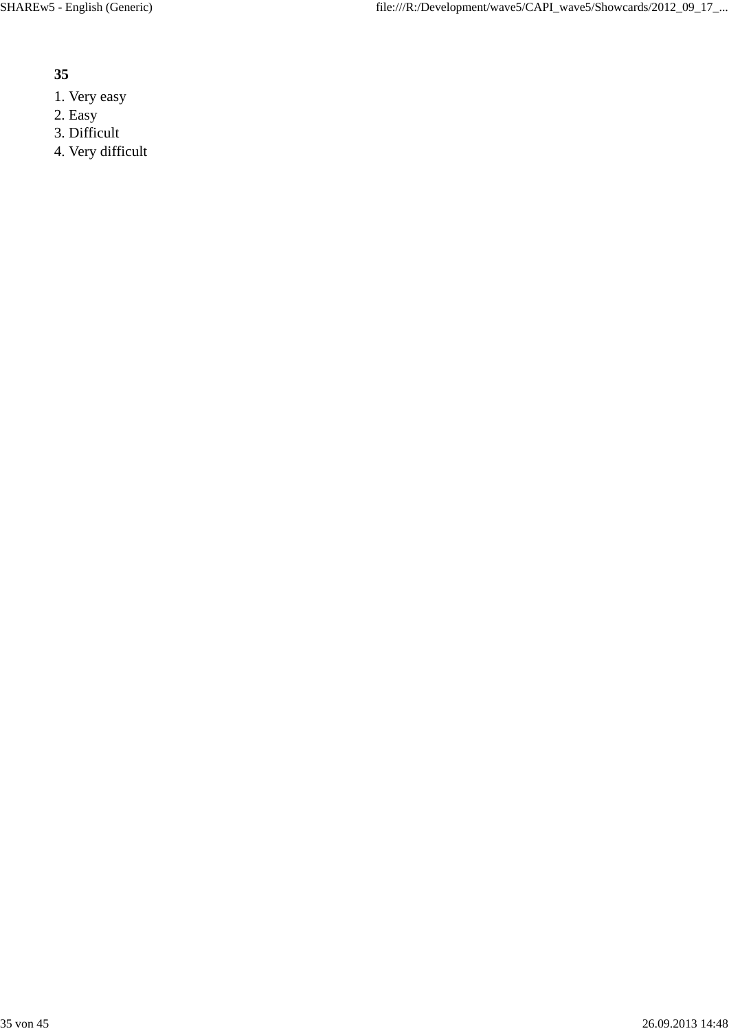- 1. Very easy
- 2. Easy
- 3. Difficult
- 4. Very difficult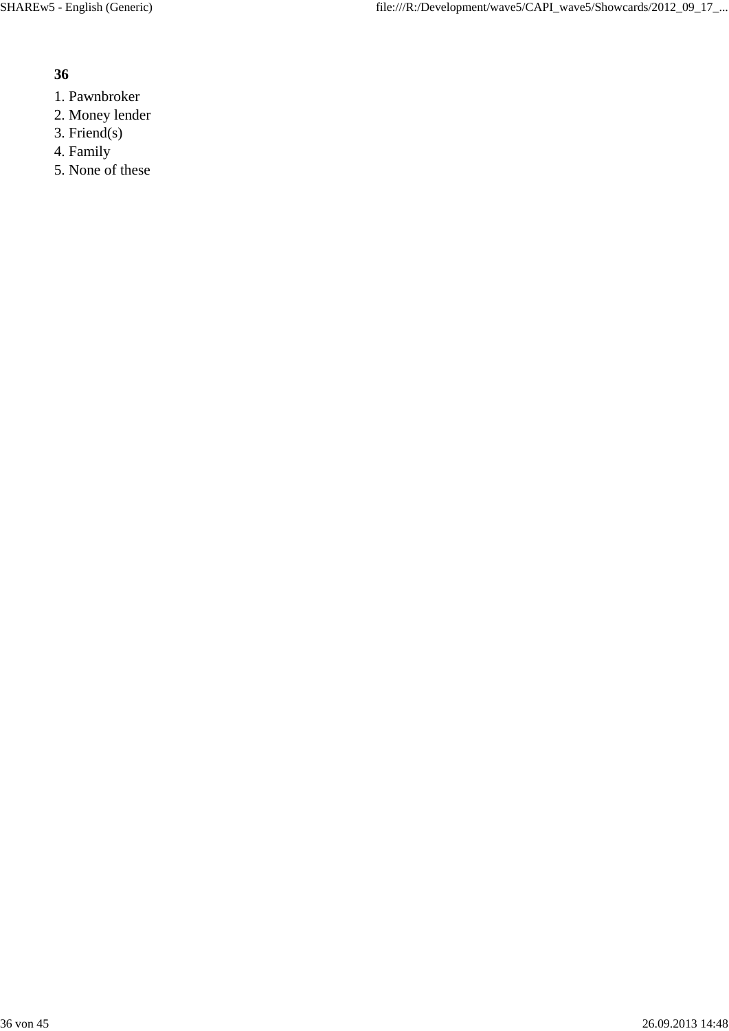- 1. Pawnbroker
- 2. Money lender
- 3. Friend(s)
- 4. Family
- 5. None of these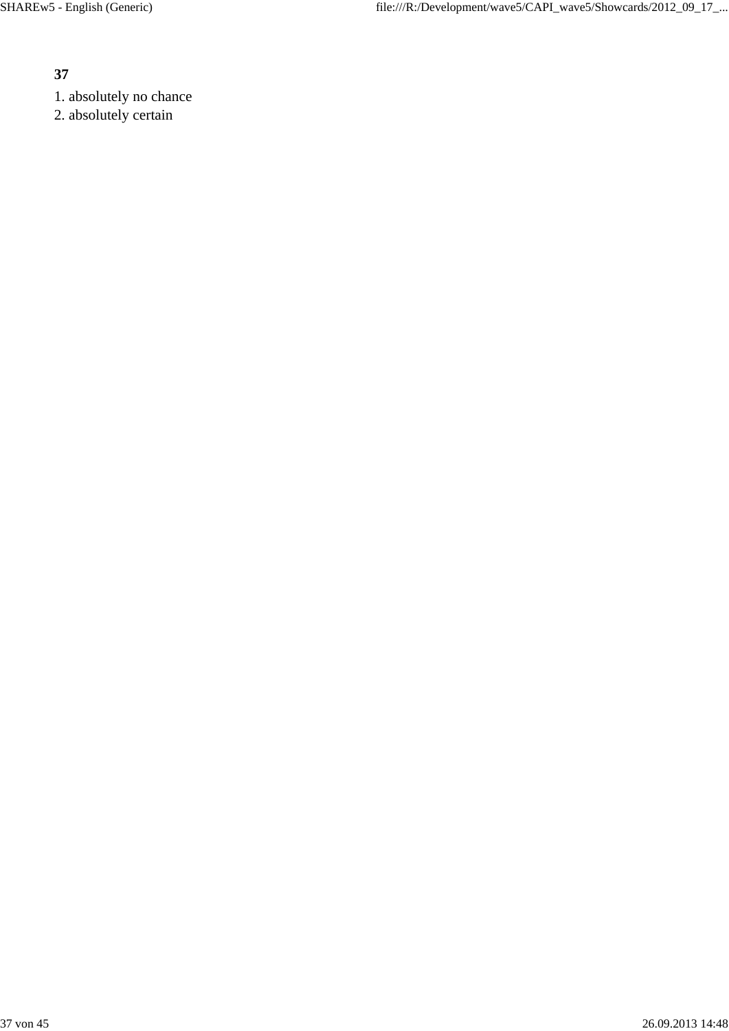- 1. absolutely no chance
- 2. absolutely certain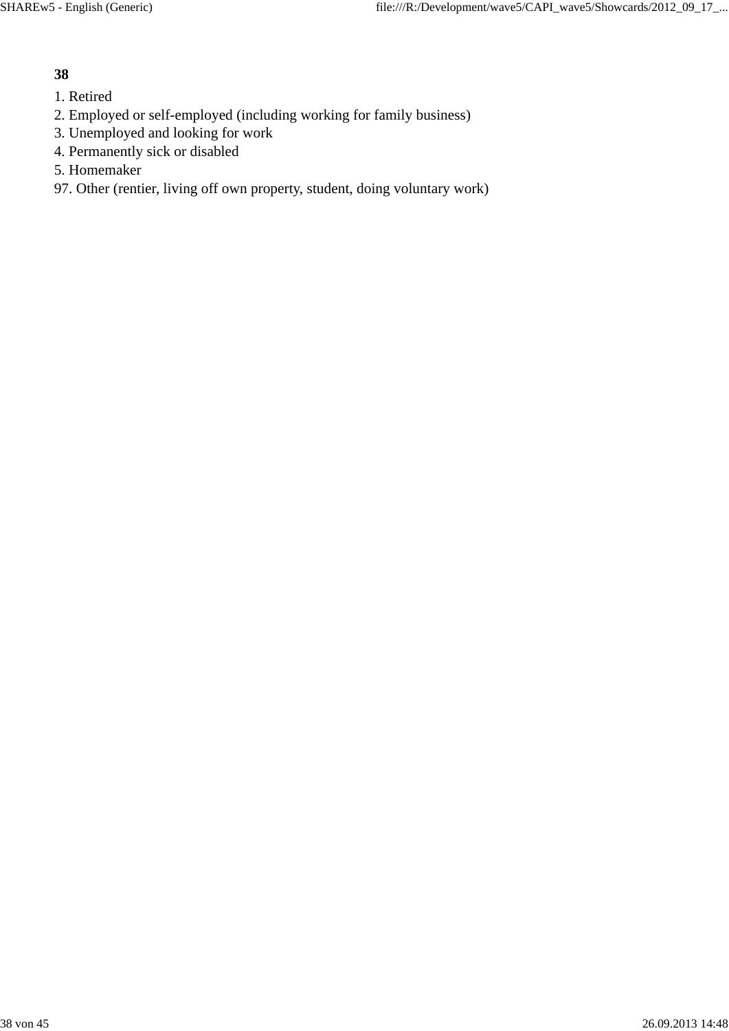- 1. Retired
- 2. Employed or self-employed (including working for family business)
- 3. Unemployed and looking for work
- 4. Permanently sick or disabled
- 5. Homemaker

# 97. Other (rentier, living off own property, student, doing voluntary work)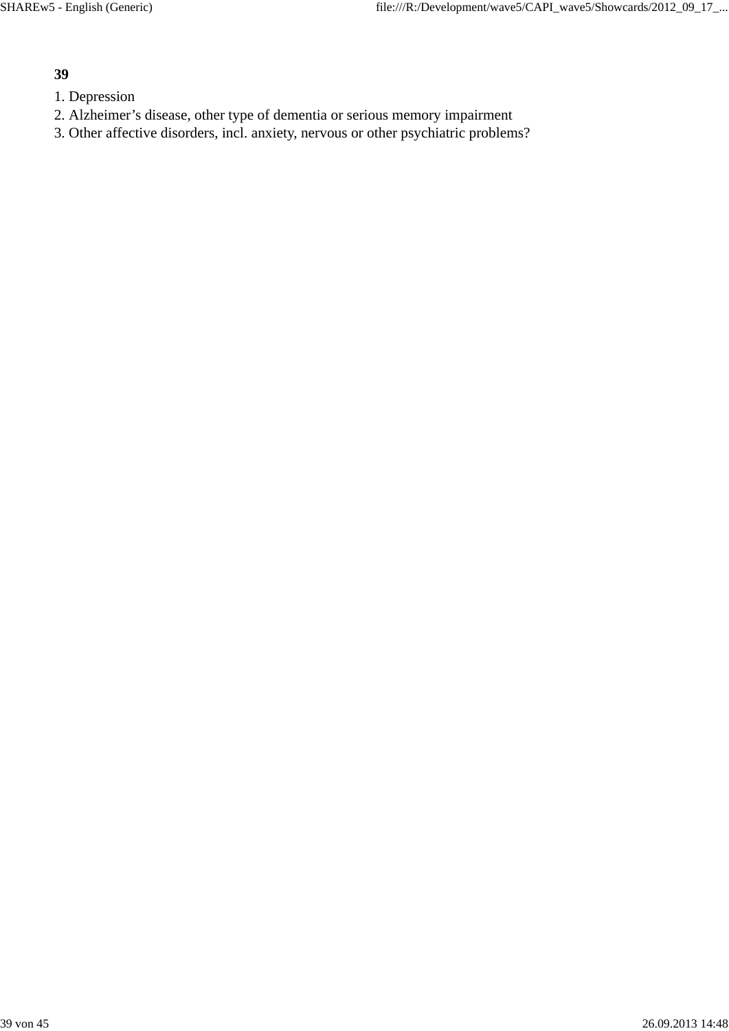- 1. Depression
- 2. Alzheimer's disease, other type of dementia or serious memory impairment
- 3. Other affective disorders, incl. anxiety, nervous or other psychiatric problems?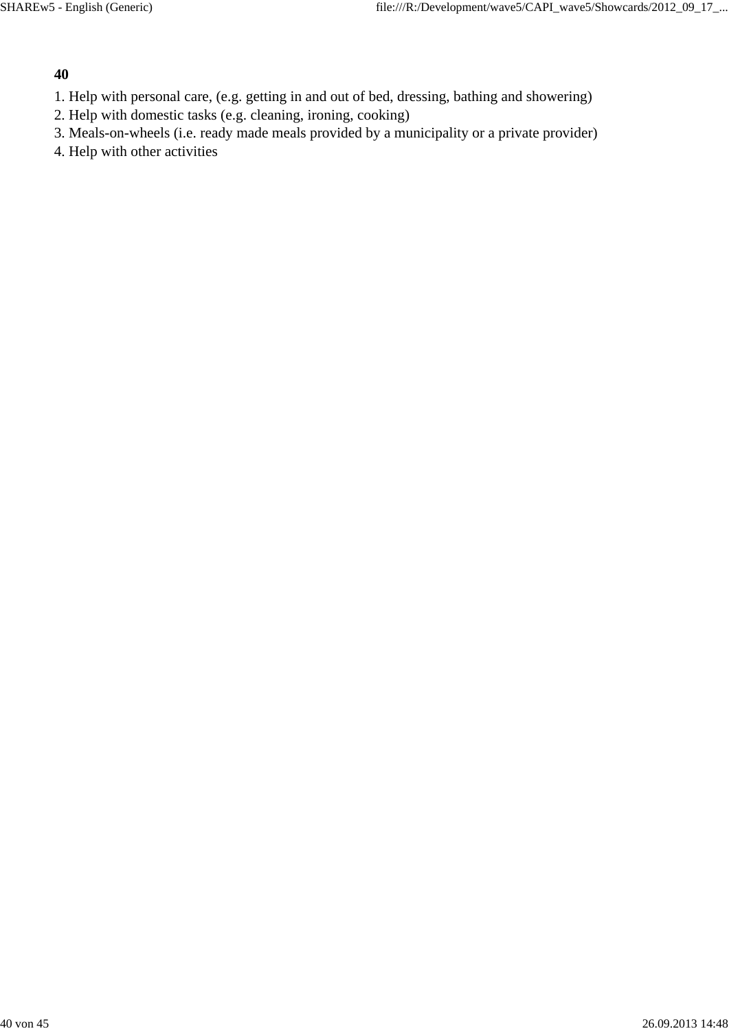- 1. Help with personal care, (e.g. getting in and out of bed, dressing, bathing and showering)
- 2. Help with domestic tasks (e.g. cleaning, ironing, cooking)
- 3. Meals-on-wheels (i.e. ready made meals provided by a municipality or a private provider)
- 4. Help with other activities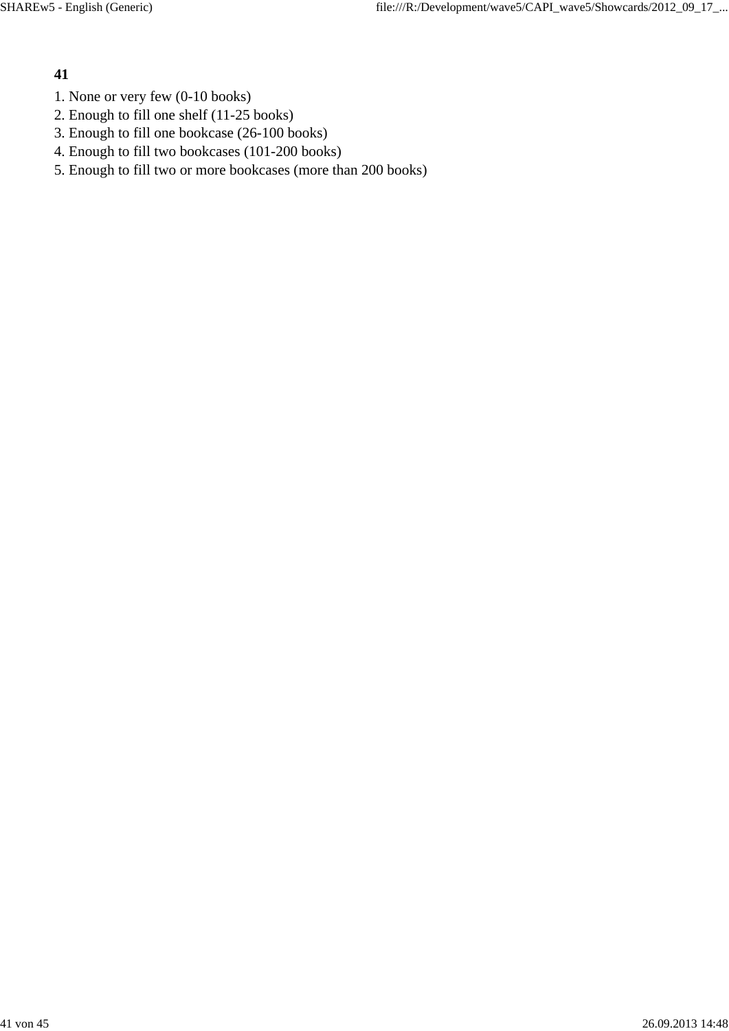- 1. None or very few (0-10 books)
- 2. Enough to fill one shelf (11-25 books)
- 3. Enough to fill one bookcase (26-100 books)
- 4. Enough to fill two bookcases (101-200 books)
- 5. Enough to fill two or more bookcases (more than 200 books)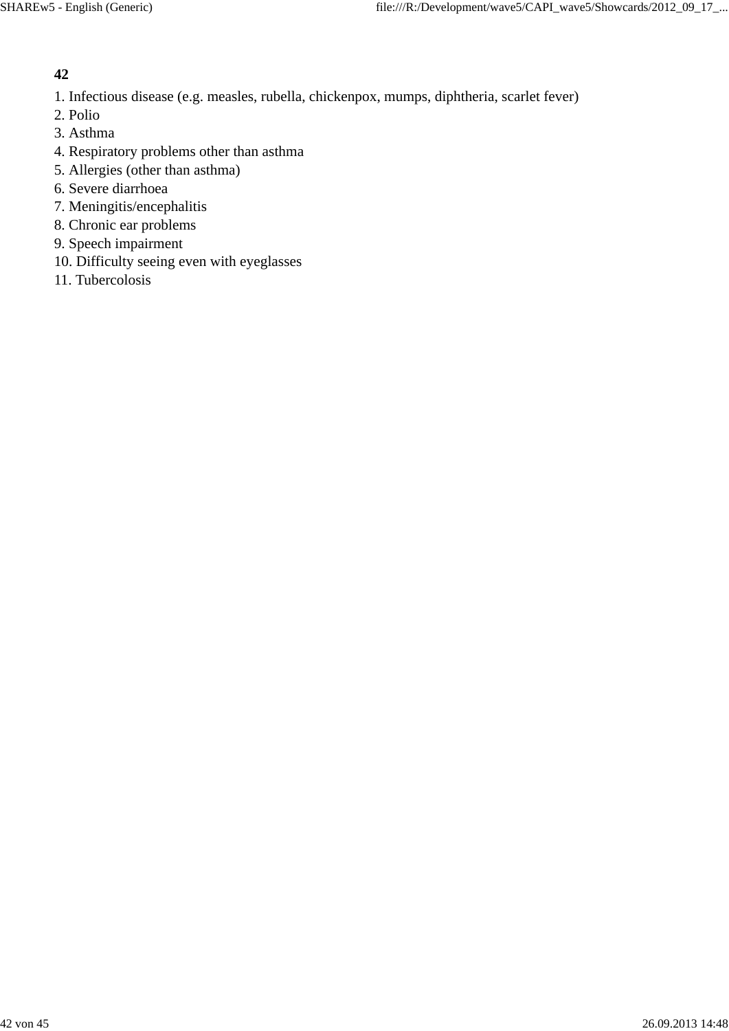- 1. Infectious disease (e.g. measles, rubella, chickenpox, mumps, diphtheria, scarlet fever)
- 2. Polio
- 3. Asthma
- 4. Respiratory problems other than asthma
- 5. Allergies (other than asthma)
- 6. Severe diarrhoea
- 7. Meningitis/encephalitis
- 8. Chronic ear problems
- 9. Speech impairment
- 10. Difficulty seeing even with eyeglasses
- 11. Tubercolosis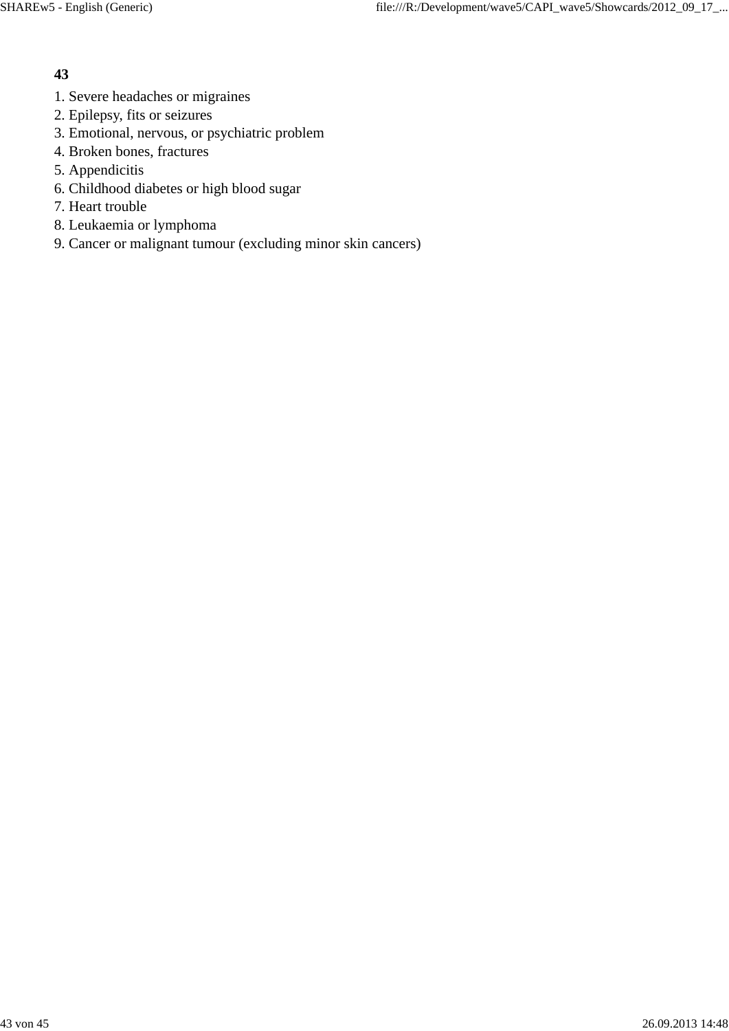- 1. Severe headaches or migraines
- 2. Epilepsy, fits or seizures
- 3. Emotional, nervous, or psychiatric problem
- 4. Broken bones, fractures
- 5. Appendicitis
- 6. Childhood diabetes or high blood sugar
- 7. Heart trouble
- 8. Leukaemia or lymphoma
- 9. Cancer or malignant tumour (excluding minor skin cancers)